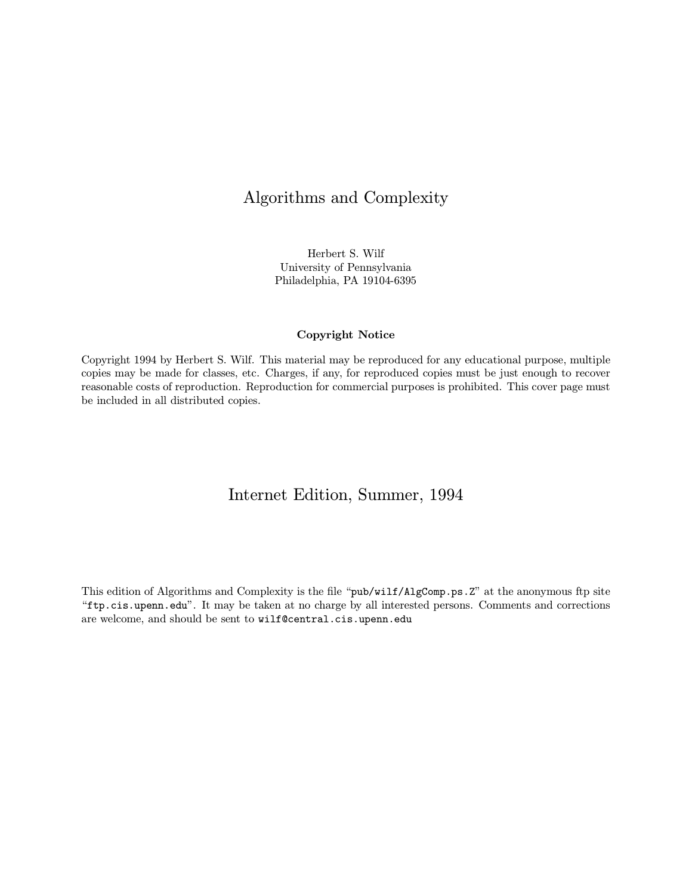# Algorithms and Complexity

Herbert S. Wilf University of Pennsylvania Philadelphia, PA 19104-6395

## Copyright Notice

Copyright 1994 by Herbert S. Wilf. This material may be reproduced for any educational purpose, multiple copies may be made for classes, etc. Charges, if any, for reproduced copies must be just enough to recover reasonable costs of reproduction. Reproduction for commercial purposes is prohibited. This cover page must be included in all distributed copies.

# Internet Edition, Summer, 1994

This edition of Algorithms and Complexity is the file "pub/wilf/AlgComp.ps.Z" at the anonymous ftp site "ftp.cis.upenn.edu". It may be taken at no charge by all interested persons. Comments and corrections are welcome, and should be sent to wilf@central.cis.upenn.edu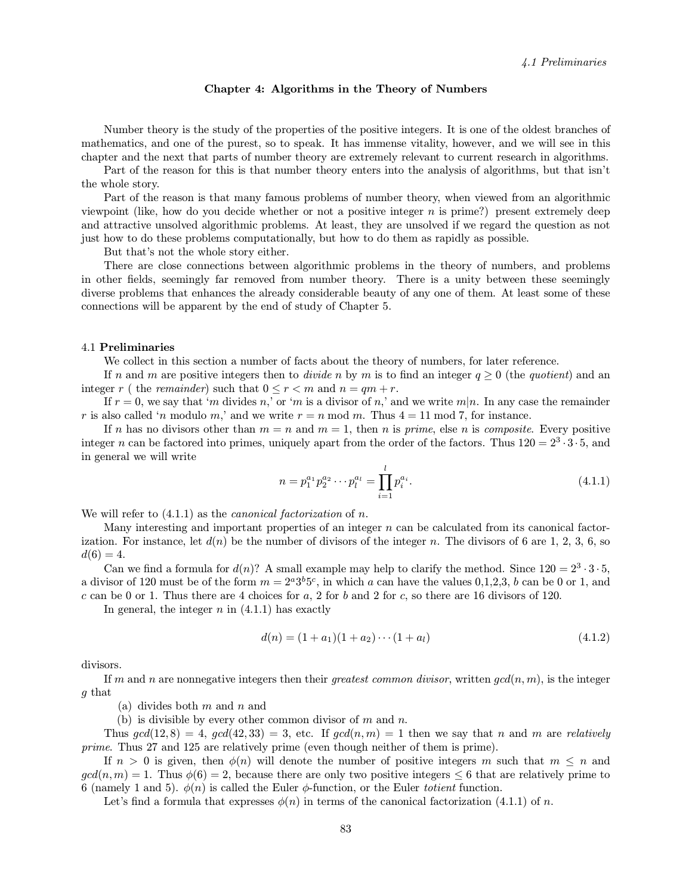Number theory is the study of the properties of the positive integers. It is one of the oldest branches of mathematics, and one of the purest, so to speak. It has immense vitality, however, and we will see in this chapter and the next that parts of number theory are extremely relevant to current research in algorithms.

Part of the reason for this is that number theory enters into the analysis of algorithms, but that isn't the whole story.

Part of the reason is that many famous problems of number theory, when viewed from an algorithmic viewpoint (like, how do you decide whether or not a positive integer n is prime?) present extremely deep and attractive unsolved algorithmic problems. At least, they are unsolved if we regard the question as not just how to do these problems computationally, but how to do them as rapidly as possible.

But that's not the whole story either.

There are close connections between algorithmic problems in the theory of numbers, and problems in other fields, seemingly far removed from number theory. There is a unity between these seemingly diverse problems that enhances the already considerable beauty of any one of them. At least some of these connections will be apparent by the end of study of Chapter 5.

#### 4.1 Preliminaries

We collect in this section a number of facts about the theory of numbers, for later reference.

If n and m are positive integers then to *divide* n by m is to find an integer  $q \ge 0$  (the *quotient*) and an integer r ( the remainder) such that  $0 \le r < m$  and  $n = qm + r$ .

If  $r = 0$ , we say that 'm divides n,' or 'm is a divisor of n,' and we write m|n. In any case the remainder r is also called 'n modulo m,' and we write  $r = n \mod m$ . Thus  $4 = 11 \mod 7$ , for instance.

If n has no divisors other than  $m = n$  and  $m = 1$ , then n is prime, else n is composite. Every positive integer n can be factored into primes, uniquely apart from the order of the factors. Thus  $120 = 2^3 \cdot 3 \cdot 5$ , and in general we will write

$$
n = p_1^{a_1} p_2^{a_2} \cdots p_l^{a_l} = \prod_{i=1}^l p_i^{a_i}.
$$
\n(4.1.1)

We will refer to  $(4.1.1)$  as the *canonical factorization* of *n*.

Many interesting and important properties of an integer  $n$  can be calculated from its canonical factorization. For instance, let  $d(n)$  be the number of divisors of the integer n. The divisors of 6 are 1, 2, 3, 6, so  $d(6) = 4.$ 

Can we find a formula for  $d(n)$ ? A small example may help to clarify the method. Since  $120 = 2^3 \cdot 3 \cdot 5$ , a divisor of 120 must be of the form  $m = 2^a 3^b 5^c$ , in which a can have the values 0,1,2,3, b can be 0 or 1, and c can be 0 or 1. Thus there are 4 choices for  $a, 2$  for  $b$  and 2 for  $c$ , so there are 16 divisors of 120.

In general, the integer  $n$  in  $(4.1.1)$  has exactly

$$
d(n) = (1 + a_1)(1 + a_2) \cdots (1 + a_l)
$$
\n(4.1.2)

divisors.

If m and n are nonnegative integers then their greatest common divisor, written  $gcd(n, m)$ , is the integer g that

(a) divides both  $m$  and  $n$  and

(b) is divisible by every other common divisor of  $m$  and  $n$ .

Thus  $gcd(12, 8) = 4$ ,  $gcd(42, 33) = 3$ , etc. If  $gcd(n, m) = 1$  then we say that n and m are relatively prime. Thus 27 and 125 are relatively prime (even though neither of them is prime).

If  $n > 0$  is given, then  $\phi(n)$  will denote the number of positive integers m such that  $m \leq n$  and  $gcd(n, m) = 1$ . Thus  $\phi(6) = 2$ , because there are only two positive integers  $\leq 6$  that are relatively prime to 6 (namely 1 and 5).  $\phi(n)$  is called the Euler  $\phi$ -function, or the Euler totient function.

Let's find a formula that expresses  $\phi(n)$  in terms of the canonical factorization (4.1.1) of n.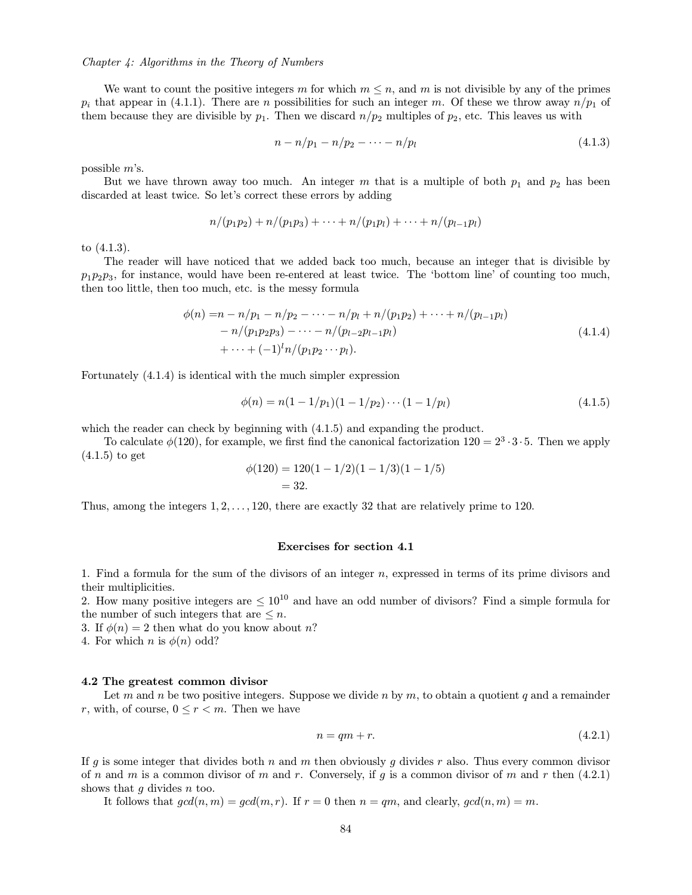We want to count the positive integers m for which  $m \leq n$ , and m is not divisible by any of the primes  $p_i$  that appear in (4.1.1). There are n possibilities for such an integer m. Of these we throw away  $n/p_1$  of them because they are divisible by  $p_1$ . Then we discard  $n/p_2$  multiples of  $p_2$ , etc. This leaves us with

$$
n - n/p_1 - n/p_2 - \dots - n/p_l \tag{4.1.3}
$$

possible m's.

But we have thrown away too much. An integer m that is a multiple of both  $p_1$  and  $p_2$  has been discarded at least twice. So let's correct these errors by adding

$$
n/(p_1p_2)+n/(p_1p_3)+\cdots+n/(p_1p_l)+\cdots+n/(p_{l-1}p_l)
$$

to (4.1.3).

The reader will have noticed that we added back too much, because an integer that is divisible by  $p_1p_2p_3$ , for instance, would have been re-entered at least twice. The 'bottom line' of counting too much, then too little, then too much, etc. is the messy formula

$$
\phi(n) = n - n/p_1 - n/p_2 - \dots - n/p_l + n/(p_1p_2) + \dots + n/(p_{l-1}p_l)
$$
  
- n/(p\_1p\_2p\_3) - \dots - n/(p\_{l-2}p\_{l-1}p\_l)   
+ \dots + (-1)^{l}n/(p\_1p\_2 \dots p\_l). \t(4.1.4)

Fortunately (4.1.4) is identical with the much simpler expression

$$
\phi(n) = n(1 - 1/p_1)(1 - 1/p_2) \cdots (1 - 1/p_l) \tag{4.1.5}
$$

which the reader can check by beginning with (4.1.5) and expanding the product.

To calculate  $\phi(120)$ , for example, we first find the canonical factorization  $120 = 2^3 \cdot 3 \cdot 5$ . Then we apply  $(4.1.5)$  to get

$$
\phi(120) = 120(1 - 1/2)(1 - 1/3)(1 - 1/5) \n= 32.
$$

Thus, among the integers  $1, 2, \ldots, 120$ , there are exactly 32 that are relatively prime to 120.

## Exercises for section 4.1

1. Find a formula for the sum of the divisors of an integer n, expressed in terms of its prime divisors and their multiplicities.

2. How many positive integers are  $\leq 10^{10}$  and have an odd number of divisors? Find a simple formula for the number of such integers that are  $\leq n$ .

3. If  $\phi(n) = 2$  then what do you know about n?

4. For which *n* is  $\phi(n)$  odd?

## 4.2 The greatest common divisor

Let m and n be two positive integers. Suppose we divide n by m, to obtain a quotient q and a remainder r, with, of course,  $0 \le r < m$ . Then we have

$$
n = qm + r.\tag{4.2.1}
$$

If g is some integer that divides both n and m then obviously g divides r also. Thus every common divisor of n and m is a common divisor of m and r. Conversely, if g is a common divisor of m and r then  $(4.2.1)$ shows that  $q$  divides  $n$  too.

It follows that  $gcd(n, m) = gcd(m, r)$ . If  $r = 0$  then  $n = qm$ , and clearly,  $gcd(n, m) = m$ .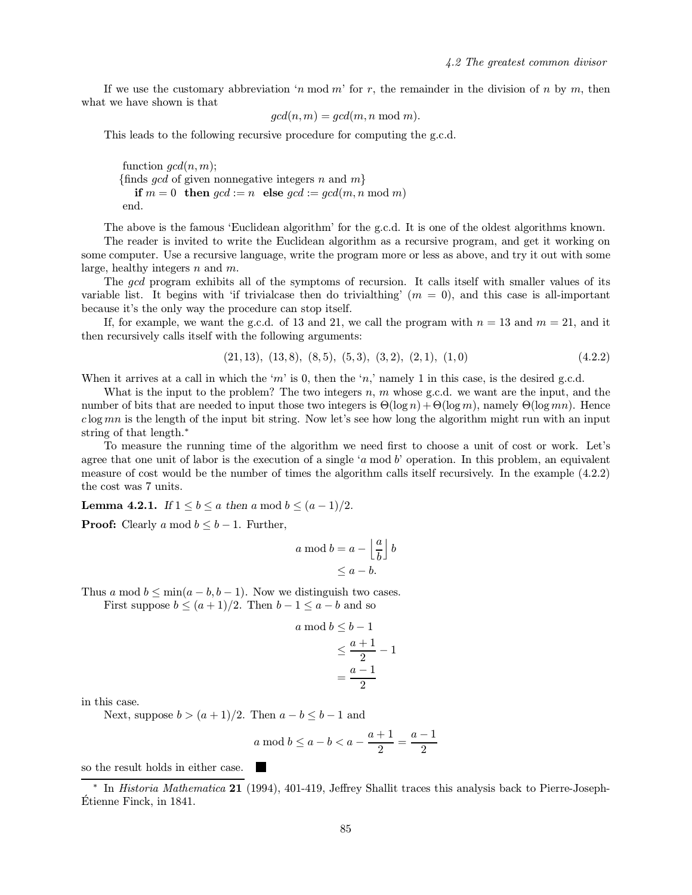If we use the customary abbreviation 'n mod m' for r, the remainder in the division of n by m, then what we have shown is that

$$
gcd(n,m) = gcd(m,n \bmod m).
$$

This leads to the following recursive procedure for computing the g.c.d.

function  $gcd(n, m);$ {finds *gcd* of given nonnegative integers *n* and  $m$ } if  $m = 0$  then  $gcd := n$  else  $gcd := gcd(m, n \mod m)$ end.

The above is the famous 'Euclidean algorithm' for the g.c.d. It is one of the oldest algorithms known.

The reader is invited to write the Euclidean algorithm as a recursive program, and get it working on some computer. Use a recursive language, write the program more or less as above, and try it out with some large, healthy integers  $n$  and  $m$ .

The gcd program exhibits all of the symptoms of recursion. It calls itself with smaller values of its variable list. It begins with 'if trivialcase then do trivialthing'  $(m = 0)$ , and this case is all-important because it's the only way the procedure can stop itself.

If, for example, we want the g.c.d. of 13 and 21, we call the program with  $n = 13$  and  $m = 21$ , and it then recursively calls itself with the following arguments:

$$
(21, 13), (13, 8), (8, 5), (5, 3), (3, 2), (2, 1), (1, 0) \tag{4.2.2}
$$

When it arrives at a call in which the 'm' is 0, then the 'n,' namely 1 in this case, is the desired g.c.d.

What is the input to the problem? The two integers  $n, m$  whose g.c.d. we want are the input, and the number of bits that are needed to input those two integers is  $\Theta(\log n)+\Theta(\log m)$ , namely  $\Theta(\log mn)$ . Hence  $c \log mn$  is the length of the input bit string. Now let's see how long the algorithm might run with an input string of that length.<sup>\*</sup>

To measure the running time of the algorithm we need first to choose a unit of cost or work. Let's agree that one unit of labor is the execution of a single 'a mod  $b$ ' operation. In this problem, an equivalent measure of cost would be the number of times the algorithm calls itself recursively. In the example (4.2.2) the cost was 7 units.

**Lemma 4.2.1.** If  $1 \leq b \leq a$  then a mod  $b \leq (a-1)/2$ .

**Proof:** Clearly a mod  $b < b - 1$ . Further,

$$
a \bmod b = a - \left\lfloor \frac{a}{b} \right\rfloor b
$$
  

$$
\leq a - b.
$$

Thus a mod  $b \le \min(a - b, b - 1)$ . Now we distinguish two cases.

First suppose  $b \leq (a+1)/2$ . Then  $b-1 \leq a-b$  and so

$$
a \bmod b \le b - 1
$$
  

$$
\le \frac{a+1}{2} - 1
$$
  

$$
= \frac{a-1}{2}
$$

in this case.

Next, suppose  $b > (a+1)/2$ . Then  $a - b \leq b - 1$  and

$$
a \mod b \le a - b < a - \frac{a+1}{2} = \frac{a-1}{2}
$$

so the result holds in either case.

<sup>∗</sup> In Historia Mathematica 21 (1994), 401-419, Jeffrey Shallit traces this analysis back to Pierre-Joseph-Etienne Finck, in 1841. ´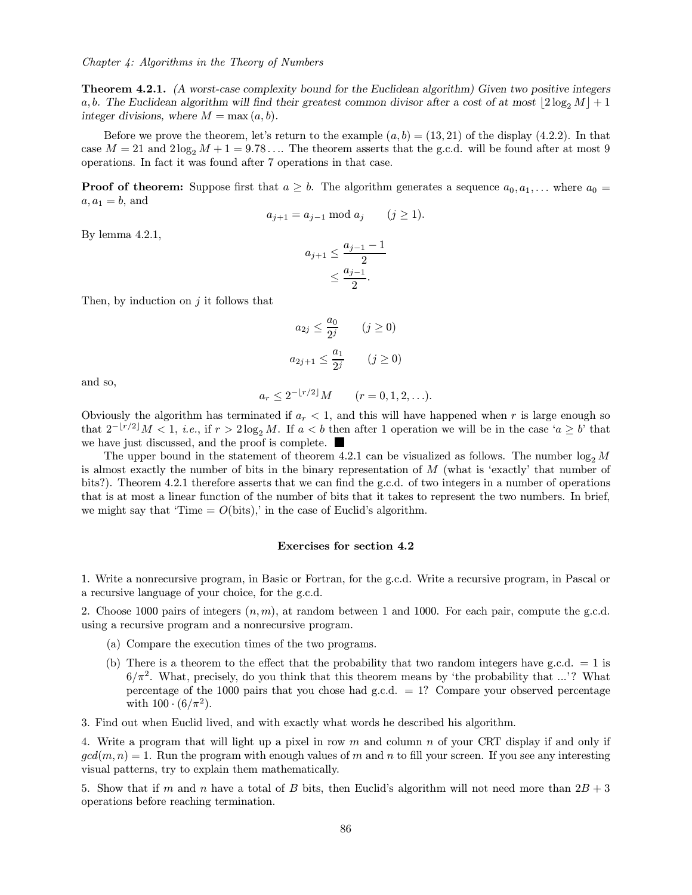Theorem 4.2.1. (A worst-case complexity bound for the Euclidean algorithm) Given two positive integers a, b. The Euclidean algorithm will find their greatest common divisor after a cost of at most  $|2 \log_2 M| + 1$ integer divisions, where  $M = \max(a, b)$ .

Before we prove the theorem, let's return to the example  $(a, b) = (13, 21)$  of the display  $(4.2.2)$ . In that case  $M = 21$  and  $2\log_2 M + 1 = 9.78...$  The theorem asserts that the g.c.d. will be found after at most 9 operations. In fact it was found after 7 operations in that case.

**Proof of theorem:** Suppose first that  $a \geq b$ . The algorithm generates a sequence  $a_0, a_1, \ldots$  where  $a_0 =$  $a, a_1 = b$ , and

$$
a_{j+1} = a_{j-1} \mod a_j \quad (j \ge 1).
$$

By lemma 4.2.1,

$$
a_{j+1} \leq \frac{a_{j-1}-1}{2}
$$
  

$$
\leq \frac{a_{j-1}}{2}.
$$

Then, by induction on  $j$  it follows that

$$
a_{2j} \le \frac{a_0}{2^j} \qquad (j \ge 0)
$$

$$
a_{2j+1} \le \frac{a_1}{2^j} \qquad (j \ge 0)
$$

and so,

$$
a_r \leq 2^{-\lfloor r/2 \rfloor} M
$$
  $(r = 0, 1, 2, ...).$ 

Obviously the algorithm has terminated if  $a_r < 1$ , and this will have happened when r is large enough so that  $2^{-\lfloor r/2\rfloor}M < 1$ , *i.e.*, if  $r > 2\log_2 M$ . If  $a < b$  then after 1 operation we will be in the case ' $a \geq b$ ' that we have just discussed, and the proof is complete.

The upper bound in the statement of theorem 4.2.1 can be visualized as follows. The number  $\log_2 M$ is almost exactly the number of bits in the binary representation of M (what is 'exactly' that number of bits?). Theorem 4.2.1 therefore asserts that we can find the g.c.d. of two integers in a number of operations that is at most a linear function of the number of bits that it takes to represent the two numbers. In brief, we might say that 'Time  $= O(\text{bits})$ ,' in the case of Euclid's algorithm.

## Exercises for section 4.2

1. Write a nonrecursive program, in Basic or Fortran, for the g.c.d. Write a recursive program, in Pascal or a recursive language of your choice, for the g.c.d.

2. Choose 1000 pairs of integers  $(n, m)$ , at random between 1 and 1000. For each pair, compute the g.c.d. using a recursive program and a nonrecursive program.

- (a) Compare the execution times of the two programs.
- (b) There is a theorem to the effect that the probability that two random integers have g.c.d. = 1 is  $6/\pi^2$ . What, precisely, do you think that this theorem means by 'the probability that ...'? What percentage of the 1000 pairs that you chose had g.c.d.  $= 1$ ? Compare your observed percentage with  $100 \cdot (6/\pi^2)$ .

3. Find out when Euclid lived, and with exactly what words he described his algorithm.

4. Write a program that will light up a pixel in row m and column n of your CRT display if and only if  $gcd(m, n) = 1$ . Run the program with enough values of m and n to fill your screen. If you see any interesting visual patterns, try to explain them mathematically.

5. Show that if m and n have a total of B bits, then Euclid's algorithm will not need more than  $2B + 3$ operations before reaching termination.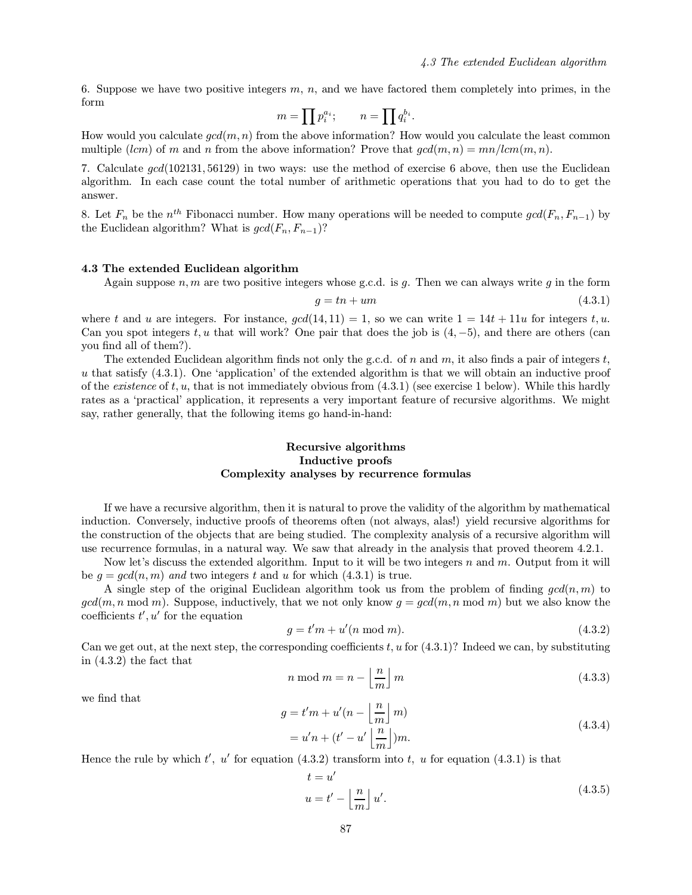6. Suppose we have two positive integers m, n, and we have factored them completely into primes, in the form

$$
m=\prod p_i^{a_i};\qquad n=\prod q_i^{b_i}.
$$

How would you calculate  $gcd(m, n)$  from the above information? How would you calculate the least common multiple (lcm) of m and n from the above information? Prove that  $gcd(m, n) = mn/lcm(m, n)$ .

7. Calculate  $gcd(102131, 56129)$  in two ways: use the method of exercise 6 above, then use the Euclidean algorithm. In each case count the total number of arithmetic operations that you had to do to get the answer.

8. Let  $F_n$  be the  $n^{th}$  Fibonacci number. How many operations will be needed to compute  $gcd(F_n, F_{n-1})$  by the Euclidean algorithm? What is  $gcd(F_n, F_{n-1})$ ?

## 4.3 The extended Euclidean algorithm

Again suppose  $n, m$  are two positive integers whose g.c.d. is  $g$ . Then we can always write  $g$  in the form

$$
g = tn + um \tag{4.3.1}
$$

where t and u are integers. For instance,  $gcd(14, 11) = 1$ , so we can write  $1 = 14t + 11u$  for integers t, u. Can you spot integers t, u that will work? One pair that does the job is  $(4, -5)$ , and there are others (can you find all of them?).

The extended Euclidean algorithm finds not only the g.c.d. of n and m, it also finds a pair of integers  $t$ , u that satisfy (4.3.1). One 'application' of the extended algorithm is that we will obtain an inductive proof of the *existence* of t, u, that is not immediately obvious from  $(4.3.1)$  (see exercise 1 below). While this hardly rates as a 'practical' application, it represents a very important feature of recursive algorithms. We might say, rather generally, that the following items go hand-in-hand:

## Recursive algorithms Inductive proofs Complexity analyses by recurrence formulas

If we have a recursive algorithm, then it is natural to prove the validity of the algorithm by mathematical induction. Conversely, inductive proofs of theorems often (not always, alas!) yield recursive algorithms for the construction of the objects that are being studied. The complexity analysis of a recursive algorithm will use recurrence formulas, in a natural way. We saw that already in the analysis that proved theorem 4.2.1.

Now let's discuss the extended algorithm. Input to it will be two integers  $n$  and  $m$ . Output from it will be  $q = \gcd(n, m)$  and two integers t and u for which (4.3.1) is true.

A single step of the original Euclidean algorithm took us from the problem of finding  $gcd(n, m)$  to  $gcd(m, n \mod m)$ . Suppose, inductively, that we not only know  $q = gcd(m, n \mod m)$  but we also know the coefficients  $t', u'$  for the equation

$$
g = t'm + u'(n \mod m). \tag{4.3.2}
$$

Can we get out, at the next step, the corresponding coefficients t, u for  $(4.3.1)$ ? Indeed we can, by substituting in (4.3.2) the fact that

$$
n \bmod m = n - \left\lfloor \frac{n}{m} \right\rfloor m \tag{4.3.3}
$$

we find that

$$
g = t'm + u'(n - \left\lfloor \frac{n}{m} \right\rfloor m)
$$
  
=  $u'n + (t' - u' \left\lfloor \frac{n}{m} \right\rfloor)m$ . (4.3.4)

Hence the rule by which  $t'$ ,  $u'$  for equation (4.3.2) transform into t, u for equation (4.3.1) is that

$$
t = u'
$$
  

$$
u = t' - \left\lfloor \frac{n}{m} \right\rfloor u'.
$$
 (4.3.5)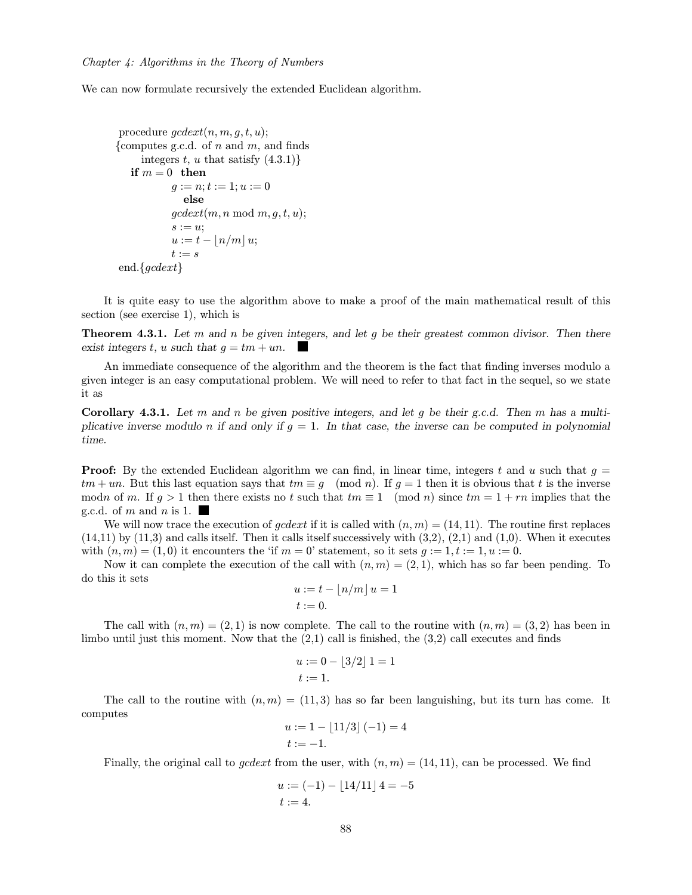We can now formulate recursively the extended Euclidean algorithm.

```
procedure qcdext(n, m, q, t, u);{computes g.c.d. of n and m, and finds
     integers t, u that satisfy (4.3.1)}
  if m = 0 then
           g := n; t := 1; u := 0else
           gcdext(m, n \mod m, g, t, u);s := u:
           u := t - |n/m| u;t := send.{gcdext}
```
It is quite easy to use the algorithm above to make a proof of the main mathematical result of this section (see exercise 1), which is

**Theorem 4.3.1.** Let m and n be given integers, and let g be their greatest common divisor. Then there exist integers t, u such that  $g = tm + un$ . a sa s

An immediate consequence of the algorithm and the theorem is the fact that finding inverses modulo a given integer is an easy computational problem. We will need to refer to that fact in the sequel, so we state it as

**Corollary 4.3.1.** Let m and n be given positive integers, and let g be their g.c.d. Then m has a multiplicative inverse modulo n if and only if  $g = 1$ . In that case, the inverse can be computed in polynomial time.

**Proof:** By the extended Euclidean algorithm we can find, in linear time, integers t and u such that  $g =$  $tm + un$ . But this last equation says that  $tm \equiv g \pmod{n}$ . If  $g = 1$  then it is obvious that t is the inverse modn of m. If  $g > 1$  then there exists no t such that  $tm \equiv 1 \pmod{n}$  since  $tm = 1 + rn$  implies that the g.c.d. of  $m$  and  $n$  is 1.

We will now trace the execution of gcdext if it is called with  $(n, m) = (14, 11)$ . The routine first replaces  $(14,11)$  by  $(11,3)$  and calls itself. Then it calls itself successively with  $(3,2)$ ,  $(2,1)$  and  $(1,0)$ . When it executes with  $(n,m) = (1,0)$  it encounters the 'if  $m = 0$ ' statement, so it sets  $q := 1, t := 1, u := 0$ .

Now it can complete the execution of the call with  $(n, m) = (2, 1)$ , which has so far been pending. To do this it sets

$$
u := t - \lfloor n/m \rfloor u = 1
$$
  

$$
t := 0.
$$

The call with  $(n, m) = (2, 1)$  is now complete. The call to the routine with  $(n, m) = (3, 2)$  has been in limbo until just this moment. Now that the  $(2,1)$  call is finished, the  $(3,2)$  call executes and finds

$$
u := 0 - \lfloor 3/2 \rfloor \, 1 = 1
$$
  

$$
t := 1.
$$

The call to the routine with  $(n,m) = (11,3)$  has so far been languishing, but its turn has come. It computes

$$
u := 1 - \lfloor 11/3 \rfloor (-1) = 4
$$
  

$$
t := -1.
$$

Finally, the original call to *gcdext* from the user, with  $(n, m) = (14, 11)$ , can be processed. We find

$$
u := (-1) - \lfloor 14/11 \rfloor 4 = -5
$$
  

$$
t := 4.
$$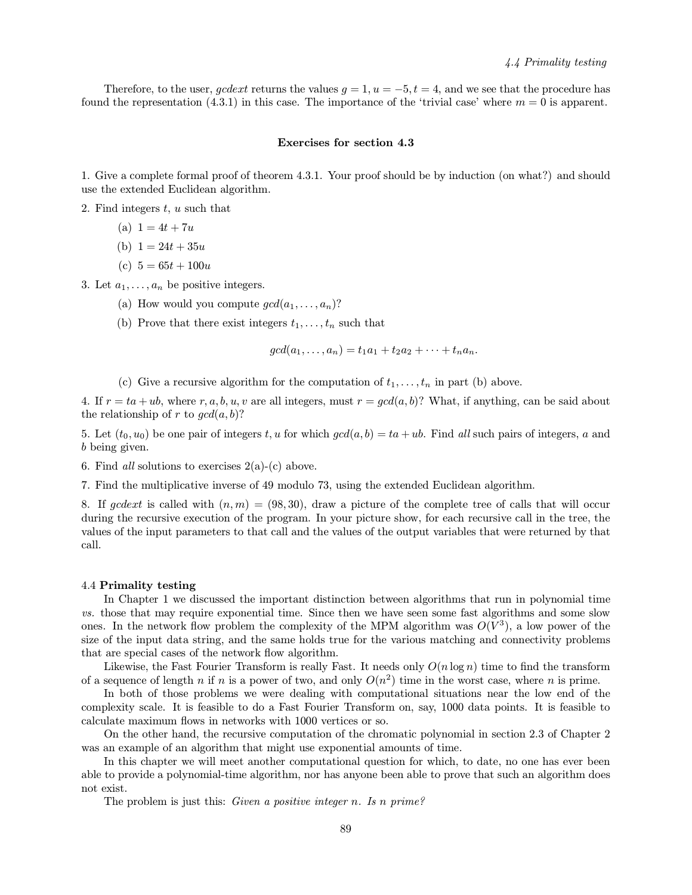Therefore, to the user, gcdext returns the values  $q = 1, u = -5, t = 4$ , and we see that the procedure has found the representation (4.3.1) in this case. The importance of the 'trivial case' where  $m = 0$  is apparent.

## Exercises for section 4.3

1. Give a complete formal proof of theorem 4.3.1. Your proof should be by induction (on what?) and should use the extended Euclidean algorithm.

2. Find integers  $t, u$  such that

- (a)  $1 = 4t + 7u$
- (b)  $1 = 24t + 35u$
- (c)  $5 = 65t + 100u$

3. Let  $a_1, \ldots, a_n$  be positive integers.

- (a) How would you compute  $gcd(a_1, \ldots, a_n)$ ?
- (b) Prove that there exist integers  $t_1, \ldots, t_n$  such that

 $gcd(a_1,...,a_n) = t_1a_1 + t_2a_2 + \cdots + t_na_n.$ 

(c) Give a recursive algorithm for the computation of  $t_1, \ldots, t_n$  in part (b) above.

4. If  $r = ta + ub$ , where r, a, b, u, v are all integers, must  $r = gcd(a, b)$ ? What, if anything, can be said about the relationship of r to  $gcd(a, b)$ ?

5. Let  $(t_0, u_0)$  be one pair of integers t, u for which  $gcd(a, b) = ta + ub$ . Find all such pairs of integers, a and b being given.

6. Find *all* solutions to exercises  $2(a)-(c)$  above.

7. Find the multiplicative inverse of 49 modulo 73, using the extended Euclidean algorithm.

8. If gcdext is called with  $(n, m) = (98, 30)$ , draw a picture of the complete tree of calls that will occur during the recursive execution of the program. In your picture show, for each recursive call in the tree, the values of the input parameters to that call and the values of the output variables that were returned by that call.

#### 4.4 Primality testing

In Chapter 1 we discussed the important distinction between algorithms that run in polynomial time vs. those that may require exponential time. Since then we have seen some fast algorithms and some slow ones. In the network flow problem the complexity of the MPM algorithm was  $O(V^3)$ , a low power of the size of the input data string, and the same holds true for the various matching and connectivity problems that are special cases of the network flow algorithm.

Likewise, the Fast Fourier Transform is really Fast. It needs only  $O(n \log n)$  time to find the transform of a sequence of length n if n is a power of two, and only  $O(n^2)$  time in the worst case, where n is prime.

In both of those problems we were dealing with computational situations near the low end of the complexity scale. It is feasible to do a Fast Fourier Transform on, say, 1000 data points. It is feasible to calculate maximum flows in networks with 1000 vertices or so.

On the other hand, the recursive computation of the chromatic polynomial in section 2.3 of Chapter 2 was an example of an algorithm that might use exponential amounts of time.

In this chapter we will meet another computational question for which, to date, no one has ever been able to provide a polynomial-time algorithm, nor has anyone been able to prove that such an algorithm does not exist.

The problem is just this: *Given a positive integer n. Is n prime?*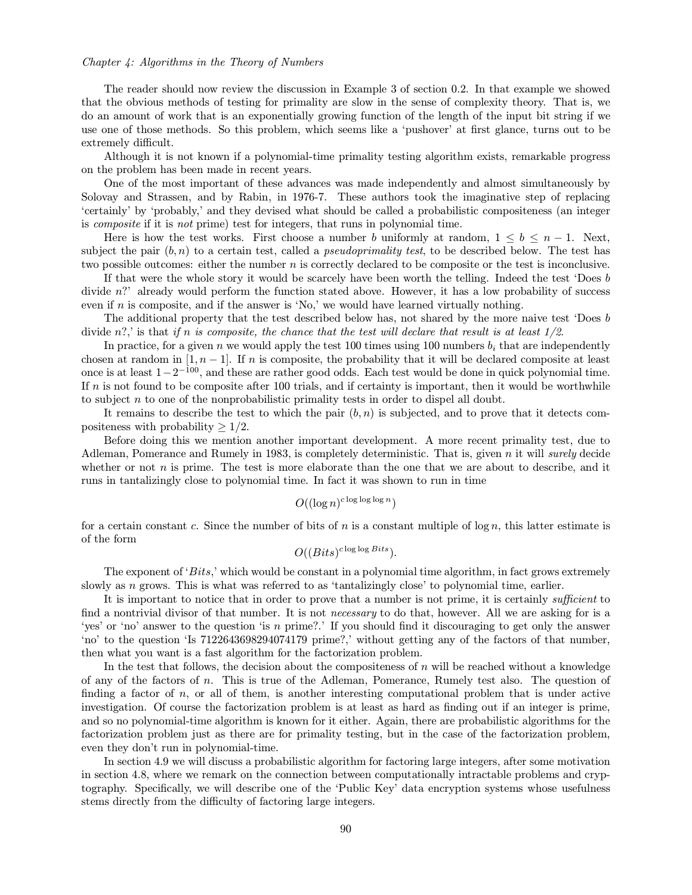The reader should now review the discussion in Example 3 of section 0.2. In that example we showed that the obvious methods of testing for primality are slow in the sense of complexity theory. That is, we do an amount of work that is an exponentially growing function of the length of the input bit string if we use one of those methods. So this problem, which seems like a 'pushover' at first glance, turns out to be extremely difficult.

Although it is not known if a polynomial-time primality testing algorithm exists, remarkable progress on the problem has been made in recent years.

One of the most important of these advances was made independently and almost simultaneously by Solovay and Strassen, and by Rabin, in 1976-7. These authors took the imaginative step of replacing 'certainly' by 'probably,' and they devised what should be called a probabilistic compositeness (an integer is composite if it is not prime) test for integers, that runs in polynomial time.

Here is how the test works. First choose a number b uniformly at random,  $1 \leq b \leq n-1$ . Next, subject the pair  $(b, n)$  to a certain test, called a *pseudoprimality test*, to be described below. The test has two possible outcomes: either the number  $n$  is correctly declared to be composite or the test is inconclusive.

If that were the whole story it would be scarcely have been worth the telling. Indeed the test 'Does b divide n?' already would perform the function stated above. However, it has a low probability of success even if n is composite, and if the answer is 'No,' we would have learned virtually nothing.

The additional property that the test described below has, not shared by the more naive test 'Does b divide n?,' is that if n is composite, the chance that the test will declare that result is at least  $1/2$ .

In practice, for a given n we would apply the test 100 times using 100 numbers  $b_i$  that are independently chosen at random in  $[1, n-1]$ . If n is composite, the probability that it will be declared composite at least once is at least  $1-2^{-100}$ , and these are rather good odds. Each test would be done in quick polynomial time. If  $n$  is not found to be composite after 100 trials, and if certainty is important, then it would be worthwhile to subject  $n$  to one of the nonprobabilistic primality tests in order to dispel all doubt.

It remains to describe the test to which the pair  $(b, n)$  is subjected, and to prove that it detects compositeness with probability  $> 1/2$ .

Before doing this we mention another important development. A more recent primality test, due to Adleman, Pomerance and Rumely in 1983, is completely deterministic. That is, given n it will surely decide whether or not  $n$  is prime. The test is more elaborate than the one that we are about to describe, and it runs in tantalizingly close to polynomial time. In fact it was shown to run in time

$$
O((\log n)^{c \log \log \log n})
$$

for a certain constant c. Since the number of bits of n is a constant multiple of  $\log n$ , this latter estimate is of the form

$$
O((Bits)^{c \log \log Bits}).
$$

The exponent of 'Bits,' which would be constant in a polynomial time algorithm, in fact grows extremely slowly as  $n$  grows. This is what was referred to as 'tantalizingly close' to polynomial time, earlier.

It is important to notice that in order to prove that a number is not prime, it is certainly *sufficient* to find a nontrivial divisor of that number. It is not necessary to do that, however. All we are asking for is a 'yes' or 'no' answer to the question 'is n prime?.' If you should find it discouraging to get only the answer 'no' to the question 'Is 7122643698294074179 prime?,' without getting any of the factors of that number, then what you want is a fast algorithm for the factorization problem.

In the test that follows, the decision about the compositeness of  $n$  will be reached without a knowledge of any of the factors of n. This is true of the Adleman, Pomerance, Rumely test also. The question of finding a factor of n, or all of them, is another interesting computational problem that is under active investigation. Of course the factorization problem is at least as hard as finding out if an integer is prime, and so no polynomial-time algorithm is known for it either. Again, there are probabilistic algorithms for the factorization problem just as there are for primality testing, but in the case of the factorization problem, even they don't run in polynomial-time.

In section 4.9 we will discuss a probabilistic algorithm for factoring large integers, after some motivation in section 4.8, where we remark on the connection between computationally intractable problems and cryptography. Specifically, we will describe one of the 'Public Key' data encryption systems whose usefulness stems directly from the difficulty of factoring large integers.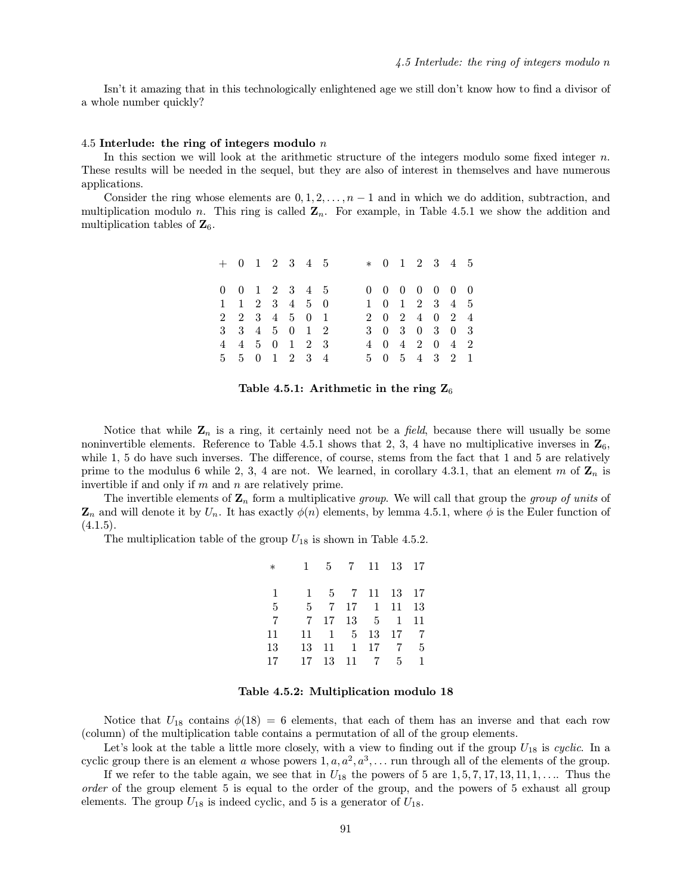Isn't it amazing that in this technologically enlightened age we still don't know how to find a divisor of a whole number quickly?

## 4.5 Interlude: the ring of integers modulo  $n$

In this section we will look at the arithmetic structure of the integers modulo some fixed integer  $n$ . These results will be needed in the sequel, but they are also of interest in themselves and have numerous applications.

Consider the ring whose elements are  $0, 1, 2, \ldots, n-1$  and in which we do addition, subtraction, and multiplication modulo n. This ring is called  $\mathbb{Z}_n$ . For example, in Table 4.5.1 we show the addition and multiplication tables of  $\mathbf{Z}_6$ .

|               |  |  | $+$ 0 1 2 3 4 5 |  |  |  | $* 0 1 2 3 4 5$                               |  |
|---------------|--|--|-----------------|--|--|--|-----------------------------------------------|--|
| 0 0 1 2 3 4 5 |  |  |                 |  |  |  | $0\quad 0\quad 0\quad 0\quad 0\quad 0\quad 0$ |  |
| 1 1 2 3 4 5 0 |  |  |                 |  |  |  | 1 0 1 2 3 4 5                                 |  |
| 2 2 3 4 5 0 1 |  |  |                 |  |  |  | 2 0 2 4 0 2 4                                 |  |
| 3 3 4 5 0 1 2 |  |  |                 |  |  |  | 3 0 3 0 3 0 3                                 |  |
|               |  |  | 4 4 5 0 1 2 3   |  |  |  | 4 0 4 2 0 4 2                                 |  |
| 5 5 0 1 2 3 4 |  |  |                 |  |  |  | 5 0 5 4 3 2 1                                 |  |

#### Table 4.5.1: Arithmetic in the ring  $Z_6$

Notice that while  $\mathbf{Z}_n$  is a ring, it certainly need not be a *field*, because there will usually be some noninvertible elements. Reference to Table 4.5.1 shows that 2, 3, 4 have no multiplicative inverses in  $\mathbb{Z}_6$ , while 1, 5 do have such inverses. The difference, of course, stems from the fact that 1 and 5 are relatively prime to the modulus 6 while 2, 3, 4 are not. We learned, in corollary 4.3.1, that an element m of  $\mathbf{Z}_n$  is invertible if and only if  $m$  and  $n$  are relatively prime.

The invertible elements of  $\mathbf{Z}_n$  form a multiplicative group. We will call that group the group of units of  $\mathbf{Z}_n$  and will denote it by  $U_n$ . It has exactly  $\phi(n)$  elements, by lemma 4.5.1, where  $\phi$  is the Euler function of  $(4.1.5).$ 

The multiplication table of the group  $U_{18}$  is shown in Table 4.5.2.

| $\ast$ |                | $1 \quad 5 \quad 7 \quad 11 \quad 13 \quad 17$ |  |  |
|--------|----------------|------------------------------------------------|--|--|
| - 1    |                | 1 5 7 11 13 17                                 |  |  |
| - 5    |                | 5 7 17 1 11 13                                 |  |  |
| - 7    |                | 7 17 13 5 1 11                                 |  |  |
| 11     |                | 11 1 5 13 17 7                                 |  |  |
| 13     |                | 13 11 1 17 7 5                                 |  |  |
| 17     | 17 13 11 7 5 1 |                                                |  |  |

#### Table 4.5.2: Multiplication modulo 18

Notice that  $U_{18}$  contains  $\phi(18) = 6$  elements, that each of them has an inverse and that each row (column) of the multiplication table contains a permutation of all of the group elements.

Let's look at the table a little more closely, with a view to finding out if the group  $U_{18}$  is cyclic. In a cyclic group there is an element a whose powers  $1, a, a^2, a^3, \ldots$  run through all of the elements of the group.

If we refer to the table again, we see that in  $U_{18}$  the powers of 5 are 1, 5, 7, 17, 13, 11, 1,.... Thus the order of the group element 5 is equal to the order of the group, and the powers of 5 exhaust all group elements. The group  $U_{18}$  is indeed cyclic, and 5 is a generator of  $U_{18}$ .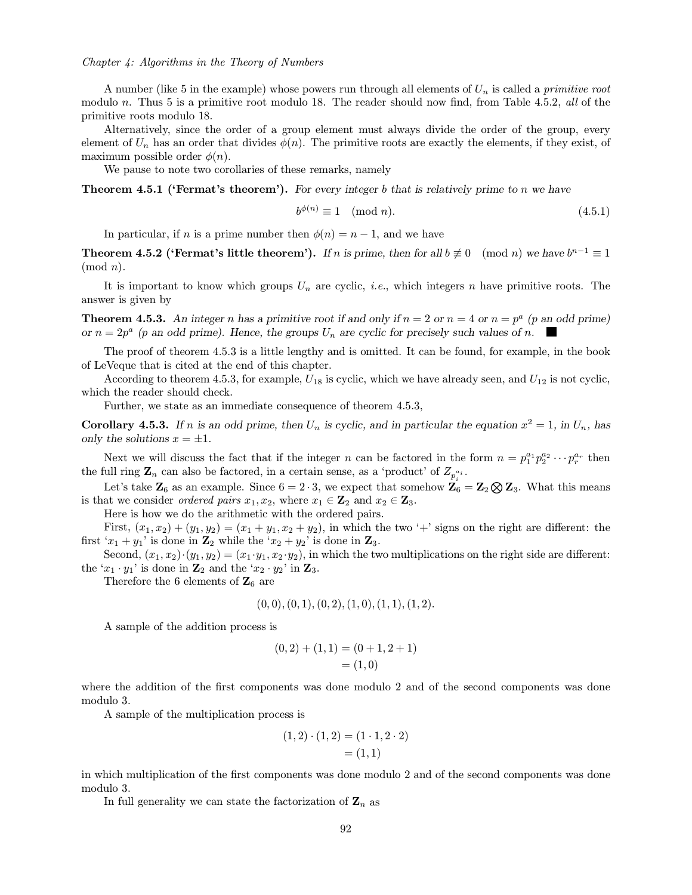A number (like 5 in the example) whose powers run through all elements of  $U_n$  is called a *primitive root* modulo n. Thus 5 is a primitive root modulo 18. The reader should now find, from Table 4.5.2, all of the primitive roots modulo 18.

Alternatively, since the order of a group element must always divide the order of the group, every element of  $U_n$  has an order that divides  $\phi(n)$ . The primitive roots are exactly the elements, if they exist, of maximum possible order  $\phi(n)$ .

We pause to note two corollaries of these remarks, namely

**Theorem 4.5.1 ('Fermat's theorem').** For every integer b that is relatively prime to n we have

$$
b^{\phi(n)} \equiv 1 \pmod{n}.\tag{4.5.1}
$$

In particular, if n is a prime number then  $\phi(n) = n - 1$ , and we have

**Theorem 4.5.2 ('Fermat's little theorem').** If n is prime, then for all  $b \not\equiv 0 \pmod{n}$  we have  $b^{n-1} \equiv 1$  $(mod n).$ 

It is important to know which groups  $U_n$  are cyclic, *i.e.*, which integers n have primitive roots. The answer is given by

**Theorem 4.5.3.** An integer n has a primitive root if and only if  $n = 2$  or  $n = 4$  or  $n = p^a$  (p an odd prime) or  $n = 2p^a$  (p an odd prime). Hence, the groups  $U_n$  are cyclic for precisely such values of n.

The proof of theorem 4.5.3 is a little lengthy and is omitted. It can be found, for example, in the book of LeVeque that is cited at the end of this chapter.

According to theorem 4.5.3, for example,  $U_{18}$  is cyclic, which we have already seen, and  $U_{12}$  is not cyclic, which the reader should check.

Further, we state as an immediate consequence of theorem 4.5.3,

**Corollary 4.5.3.** If n is an odd prime, then  $U_n$  is cyclic, and in particular the equation  $x^2 = 1$ , in  $U_n$ , has only the solutions  $x = \pm 1$ .

Next we will discuss the fact that if the integer n can be factored in the form  $n = p_1^{a_1} p_2^{a_2} \cdots p_r^{a_r}$  then the full ring  $\mathbf{Z}_n$  can also be factored, in a certain sense, as a 'product' of  $Z_{p_i^{a_i}}$ .

Let's take  $\mathbf{Z}_6$  as an example. Since  $6 = 2 \cdot 3$ , we expect that somehow  $\mathbf{Z}_6 = \mathbf{Z}_2 \bigotimes \mathbf{Z}_3$ . What this means is that we consider *ordered pairs*  $x_1, x_2$ , where  $x_1 \in \mathbb{Z}_2$  and  $x_2 \in \mathbb{Z}_3$ .

Here is how we do the arithmetic with the ordered pairs.

First,  $(x_1, x_2) + (y_1, y_2) = (x_1 + y_1, x_2 + y_2)$ , in which the two '+' signs on the right are different: the first ' $x_1 + y_1$ ' is done in  $\mathbb{Z}_2$  while the ' $x_2 + y_2$ ' is done in  $\mathbb{Z}_3$ .

Second,  $(x_1, x_2) \cdot (y_1, y_2) = (x_1 \cdot y_1, x_2 \cdot y_2)$ , in which the two multiplications on the right side are different: the ' $x_1 \cdot y_1$ ' is done in  $\mathbb{Z}_2$  and the ' $x_2 \cdot y_2$ ' in  $\mathbb{Z}_3$ .

Therefore the 6 elements of  $\mathbb{Z}_6$  are

$$
(0,0), (0,1), (0,2), (1,0), (1,1), (1,2).
$$

A sample of the addition process is

$$
(0,2) + (1,1) = (0+1,2+1)
$$
  
= (1,0)

where the addition of the first components was done modulo 2 and of the second components was done modulo 3.

A sample of the multiplication process is

$$
(1,2) \cdot (1,2) = (1 \cdot 1, 2 \cdot 2)
$$

$$
= (1,1)
$$

in which multiplication of the first components was done modulo 2 and of the second components was done modulo 3.

In full generality we can state the factorization of  $\mathbf{Z}_n$  as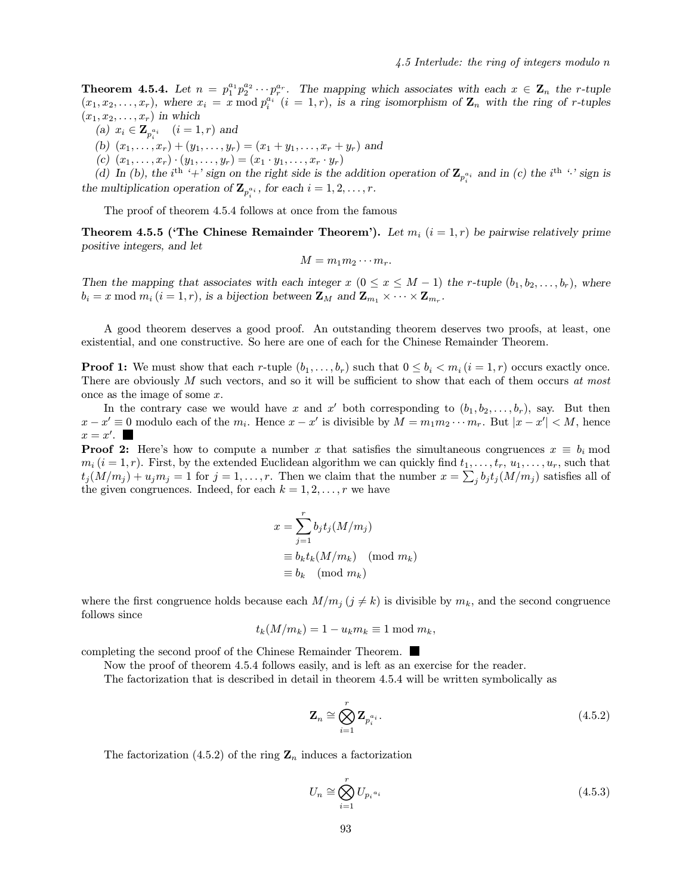**Theorem 4.5.4.** Let  $n = p_1^{a_1} p_2^{a_2} \cdots p_r^{a_r}$ . The mapping which associates with each  $x \in \mathbb{Z}_n$  the r-tuple  $(x_1, x_2,...,x_r)$ , where  $x_i = x \mod p_i^{a_i}$   $(i = 1, r)$ , is a ring isomorphism of  $\mathbb{Z}_n$  with the ring of r-tuples  $(x_1, x_2, \ldots, x_r)$  in which

- (a)  $x_i \in \mathbf{Z}_{p_i^{a_i}} \quad (i = 1, r)$  and
- (b)  $(x_1,...,x_r)+(y_1,...,y_r)=(x_1+y_1,...,x_r+y_r)$  and
- (c)  $(x_1,...,x_r) \cdot (y_1,...,y_r) = (x_1 \cdot y_1,...,x_r \cdot y_r)$

(d) In (b), the i<sup>th</sup> '+' sign on the right side is the addition operation of  $\mathbf{Z}_{p_i^{a_i}}$  and in (c) the i<sup>th</sup> '·' sign is the multiplication operation of  $\mathbf{Z}_{p_i^{a_i}}$ , for each  $i = 1, 2, \ldots, r$ .

The proof of theorem 4.5.4 follows at once from the famous

**Theorem 4.5.5 (The Chinese Remainder Theorem').** Let  $m_i$   $(i = 1, r)$  be pairwise relatively prime positive integers, and let

$$
M = m_1 m_2 \cdots m_r.
$$

Then the mapping that associates with each integer x  $(0 \le x \le M - 1)$  the r-tuple  $(b_1, b_2, \ldots, b_r)$ , where  $b_i = x \mod m_i$   $(i = 1, r)$ , is a bijection between  $\mathbf{Z}_M$  and  $\mathbf{Z}_{m_1} \times \cdots \times \mathbf{Z}_{m_r}$ .

A good theorem deserves a good proof. An outstanding theorem deserves two proofs, at least, one existential, and one constructive. So here are one of each for the Chinese Remainder Theorem.

**Proof 1:** We must show that each r-tuple  $(b_1,\ldots,b_r)$  such that  $0 \leq b_i < m_i \ (i = 1, r)$  occurs exactly once. There are obviously M such vectors, and so it will be sufficient to show that each of them occurs at most once as the image of some x.

In the contrary case we would have x and x' both corresponding to  $(b_1, b_2, \ldots, b_r)$ , say. But then  $x - x' \equiv 0$  modulo each of the  $m_i$ . Hence  $x - x'$  is divisible by  $M = m_1 m_2 \cdots m_r$ . But  $|x - x'| < M$ , hence  $x = x'.$ 

**Proof 2:** Here's how to compute a number x that satisfies the simultaneous congruences  $x \equiv b_i$  mod  $m_i$  ( $i = 1, r$ ). First, by the extended Euclidean algorithm we can quickly find  $t_1, \ldots, t_r, u_1, \ldots, u_r$ , such that  $t_j(M/m_j) + u_j m_j = 1$  for  $j = 1, \ldots, r$ . Then we claim that the number  $x = \sum_j b_j t_j(M/m_j)$  satisfies all of the given congruences. Indeed, for each  $k = 1, 2, \ldots, r$  we have

$$
x = \sum_{j=1}^{r} b_j t_j (M/m_j)
$$
  
\n
$$
\equiv b_k t_k (M/m_k) \pmod{m_k}
$$
  
\n
$$
\equiv b_k \pmod{m_k}
$$

where the first congruence holds because each  $M/m_j$   $(j \neq k)$  is divisible by  $m_k$ , and the second congruence follows since

$$
t_k(M/m_k) = 1 - u_k m_k \equiv 1 \bmod m_k,
$$

completing the second proof of the Chinese Remainder Theorem.

Now the proof of theorem 4.5.4 follows easily, and is left as an exercise for the reader.

The factorization that is described in detail in theorem 4.5.4 will be written symbolically as

$$
\mathbf{Z}_n \cong \bigotimes_{i=1}^r \mathbf{Z}_{p_i^{a_i}}.\tag{4.5.2}
$$

The factorization (4.5.2) of the ring  $\mathbf{Z}_n$  induces a factorization

$$
U_n \cong \bigotimes_{i=1}^r U_{p_i a_i} \tag{4.5.3}
$$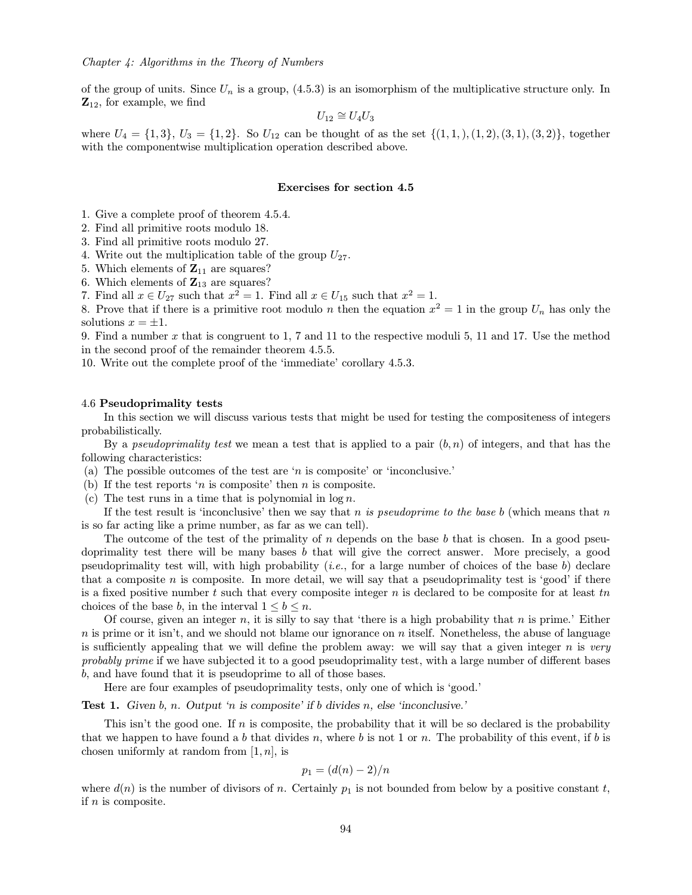of the group of units. Since  $U_n$  is a group, (4.5.3) is an isomorphism of the multiplicative structure only. In  $\mathbf{Z}_{12}$ , for example, we find

$$
U_{12} \cong U_4U_3
$$

where  $U_4 = \{1,3\}, U_3 = \{1,2\}.$  So  $U_{12}$  can be thought of as the set  $\{(1,1,),(1,2),(3,1),(3,2)\}$ , together with the componentwise multiplication operation described above.

## Exercises for section 4.5

- 1. Give a complete proof of theorem 4.5.4.
- 2. Find all primitive roots modulo 18.
- 3. Find all primitive roots modulo 27.
- 4. Write out the multiplication table of the group  $U_{27}$ .
- 5. Which elements of  $\mathbb{Z}_{11}$  are squares?
- 6. Which elements of  $\mathbf{Z}_{13}$  are squares?

7. Find all  $x \in U_{27}$  such that  $x^2 = 1$ . Find all  $x \in U_{15}$  such that  $x^2 = 1$ .

8. Prove that if there is a primitive root modulo n then the equation  $x^2 = 1$  in the group  $U_n$  has only the solutions  $x = \pm 1$ .

9. Find a number  $x$  that is congruent to 1, 7 and 11 to the respective moduli 5, 11 and 17. Use the method in the second proof of the remainder theorem 4.5.5.

10. Write out the complete proof of the 'immediate' corollary 4.5.3.

#### 4.6 Pseudoprimality tests

In this section we will discuss various tests that might be used for testing the compositeness of integers probabilistically.

By a *pseudoprimality test* we mean a test that is applied to a pair  $(b, n)$  of integers, and that has the following characteristics:

- (a) The possible outcomes of the test are  $n$  is composite' or 'inconclusive.'
- (b) If the test reports 'n is composite' then  $n$  is composite.
- (c) The test runs in a time that is polynomial in  $\log n$ .

If the test result is 'inconclusive' then we say that n is pseudoprime to the base b (which means that n is so far acting like a prime number, as far as we can tell).

The outcome of the test of the primality of  $n$  depends on the base  $b$  that is chosen. In a good pseudoprimality test there will be many bases  $b$  that will give the correct answer. More precisely, a good pseudoprimality test will, with high probability (*i.e.*, for a large number of choices of the base b) declare that a composite  $n$  is composite. In more detail, we will say that a pseudoprimality test is 'good' if there is a fixed positive number t such that every composite integer n is declared to be composite for at least tn choices of the base b, in the interval  $1 \leq b \leq n$ .

Of course, given an integer n, it is silly to say that 'there is a high probability that n is prime.' Either  $n$  is prime or it isn't, and we should not blame our ignorance on n itself. Nonetheless, the abuse of language is sufficiently appealing that we will define the problem away: we will say that a given integer  $n$  is very probably prime if we have subjected it to a good pseudoprimality test, with a large number of different bases b, and have found that it is pseudoprime to all of those bases.

Here are four examples of pseudoprimality tests, only one of which is 'good.'

Test 1. Given b, n. Output 'n is composite' if b divides n, else 'inconclusive.'

This isn't the good one. If n is composite, the probability that it will be so declared is the probability that we happen to have found a b that divides n, where b is not 1 or n. The probability of this event, if b is chosen uniformly at random from  $[1, n]$ , is

$$
p_1 = \frac{d(n) - 2}{n}
$$

where  $d(n)$  is the number of divisors of n. Certainly  $p_1$  is not bounded from below by a positive constant t, if  $n$  is composite.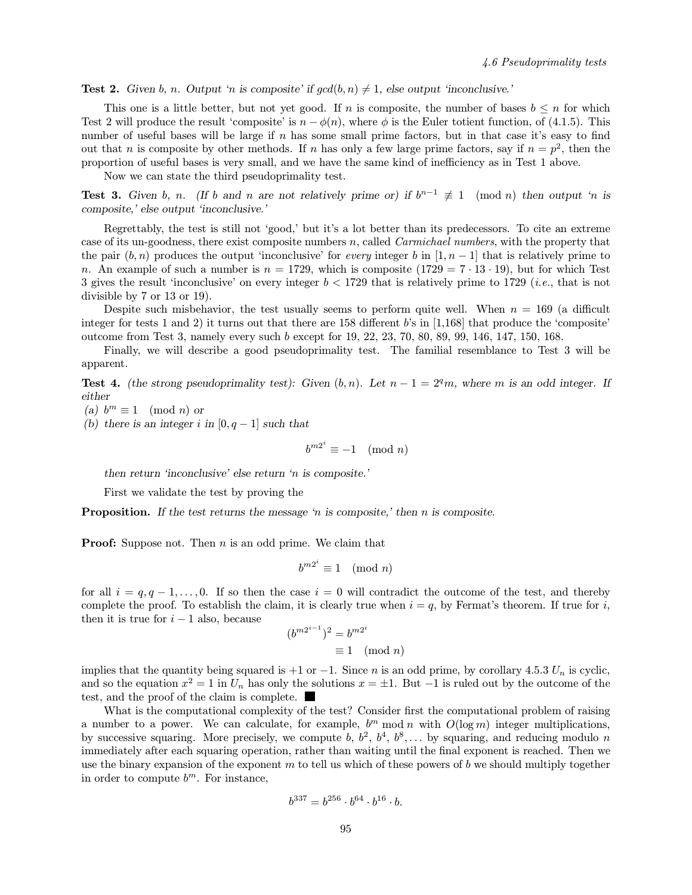**Test 2.** Given b, n. Output 'n is composite' if  $gcd(b, n) \neq 1$ , else output 'inconclusive.'

This one is a little better, but not yet good. If n is composite, the number of bases  $b \leq n$  for which Test 2 will produce the result 'composite' is  $n - \phi(n)$ , where  $\phi$  is the Euler totient function, of (4.1.5). This number of useful bases will be large if  $n$  has some small prime factors, but in that case it's easy to find out that n is composite by other methods. If n has only a few large prime factors, say if  $n = p^2$ , then the proportion of useful bases is very small, and we have the same kind of inefficiency as in Test 1 above.

Now we can state the third pseudoprimality test.

**Test 3.** Given b, n. (If b and n are not relatively prime or) if  $b^{n-1} \not\equiv 1 \pmod{n}$  then output 'n is composite,' else output 'inconclusive.'

Regrettably, the test is still not 'good,' but it's a lot better than its predecessors. To cite an extreme case of its un-goodness, there exist composite numbers n, called Carmichael numbers, with the property that the pair  $(b, n)$  produces the output 'inconclusive' for every integer b in [1, n – 1] that is relatively prime to n. An example of such a number is  $n = 1729$ , which is composite  $(1729 = 7 \cdot 13 \cdot 19)$ , but for which Test 3 gives the result 'inconclusive' on every integer  $b < 1729$  that is relatively prime to 1729 (*i.e.*, that is not divisible by 7 or 13 or 19).

Despite such misbehavior, the test usually seems to perform quite well. When  $n = 169$  (a difficult integer for tests 1 and 2) it turns out that there are 158 different b's in [1,168] that produce the 'composite' outcome from Test 3, namely every such b except for 19, 22, 23, 70, 80, 89, 99, 146, 147, 150, 168.

Finally, we will describe a good pseudoprimality test. The familial resemblance to Test 3 will be apparent.

**Test 4.** (the strong pseudoprimality test): Given  $(b, n)$ . Let  $n - 1 = 2<sup>q</sup>m$ , where m is an odd integer. If either

(a)  $b^m \equiv 1 \pmod{n}$  or

(b) there is an integer i in  $[0, q-1]$  such that

 $b^{m2^i} \equiv -1 \pmod{n}$ 

then return 'inconclusive' else return 'n is composite.'

First we validate the test by proving the

**Proposition.** If the test returns the message 'n is composite,' then  $n$  is composite.

**Proof:** Suppose not. Then  $n$  is an odd prime. We claim that

$$
b^{m2^i} \equiv 1 \pmod{n}
$$

for all  $i = q, q - 1, \ldots, 0$ . If so then the case  $i = 0$  will contradict the outcome of the test, and thereby complete the proof. To establish the claim, it is clearly true when  $i = q$ , by Fermat's theorem. If true for i, then it is true for  $i - 1$  also, because

$$
(b^{m2^{i-1}})^2 = b^{m2^i}
$$

$$
\equiv 1 \pmod{n}
$$

implies that the quantity being squared is +1 or -1. Since n is an odd prime, by corollary 4.5.3  $U_n$  is cyclic, and so the equation  $x^2 = 1$  in  $U_n$  has only the solutions  $x = \pm 1$ . But  $-1$  is ruled out by the outcome of the test, and the proof of the claim is complete.

What is the computational complexity of the test? Consider first the computational problem of raising a number to a power. We can calculate, for example,  $b^m \mod n$  with  $O(\log m)$  integer multiplications, by successive squaring. More precisely, we compute b,  $b^2$ ,  $b^4$ ,  $b^8$ ,... by squaring, and reducing modulo n immediately after each squaring operation, rather than waiting until the final exponent is reached. Then we use the binary expansion of the exponent  $m$  to tell us which of these powers of  $b$  we should multiply together in order to compute  $b^m$ . For instance,

$$
b^{337} = b^{256} \cdot b^{64} \cdot b^{16} \cdot b.
$$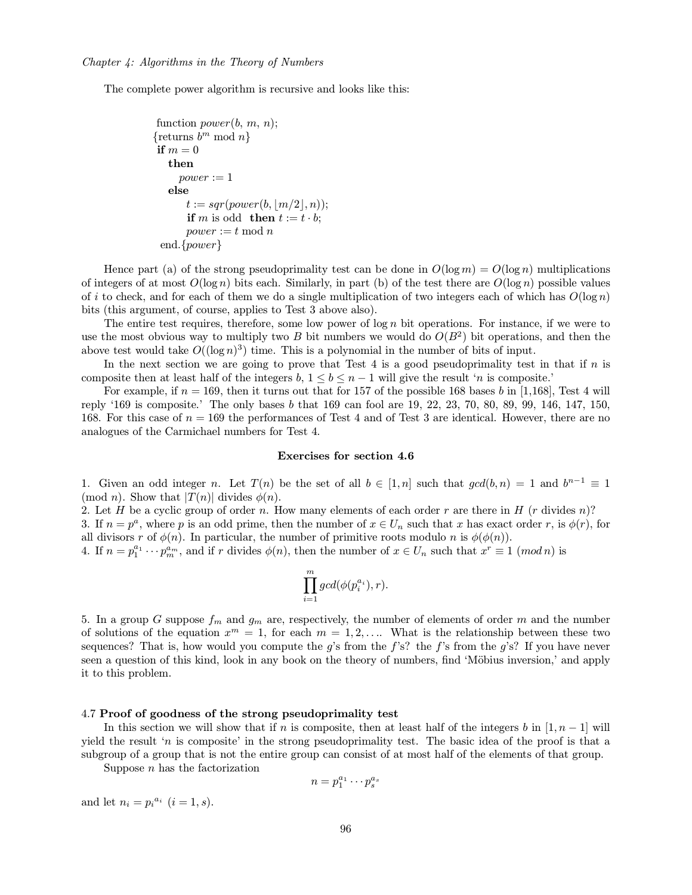The complete power algorithm is recursive and looks like this:

```
function power(b, m, n);{returns b^m \mod n}
if m = 0then
     power := 1else
      t := \textit{sqrt}(power(b, |m/2|, n));if m is odd then t := t \cdot b;
      power := t \mod nend.{power}
```
Hence part (a) of the strong pseudoprimality test can be done in  $O(\log m) = O(\log n)$  multiplications of integers of at most  $O(\log n)$  bits each. Similarly, in part (b) of the test there are  $O(\log n)$  possible values of i to check, and for each of them we do a single multiplication of two integers each of which has  $O(\log n)$ bits (this argument, of course, applies to Test 3 above also).

The entire test requires, therefore, some low power of  $\log n$  bit operations. For instance, if we were to use the most obvious way to multiply two B bit numbers we would do  $O(B^2)$  bit operations, and then the above test would take  $O((\log n)^3)$  time. This is a polynomial in the number of bits of input.

In the next section we are going to prove that Test 4 is a good pseudoprimality test in that if  $n$  is composite then at least half of the integers  $b, 1 \leq b \leq n-1$  will give the result 'n is composite.'

For example, if  $n = 169$ , then it turns out that for 157 of the possible 168 bases b in [1,168], Test 4 will reply '169 is composite.' The only bases b that 169 can fool are 19, 22, 23, 70, 80, 89, 99, 146, 147, 150, 168. For this case of  $n = 169$  the performances of Test 4 and of Test 3 are identical. However, there are no analogues of the Carmichael numbers for Test 4.

## Exercises for section 4.6

1. Given an odd integer n. Let  $T(n)$  be the set of all  $b \in [1,n]$  such that  $gcd(b,n) = 1$  and  $b^{n-1} \equiv 1$ (mod *n*). Show that  $|T(n)|$  divides  $\phi(n)$ .

2. Let H be a cyclic group of order n. How many elements of each order r are there in H (r divides n)? 3. If  $n = p^a$ , where p is an odd prime, then the number of  $x \in U_n$  such that x has exact order r, is  $\phi(r)$ , for all divisors r of  $\phi(n)$ . In particular, the number of primitive roots modulo n is  $\phi(\phi(n))$ . 4. If  $n = p_1^{a_1} \cdots p_m^{a_m}$ , and if r divides  $\phi(n)$ , then the number of  $x \in U_n$  such that  $x^r \equiv 1 \pmod{n}$  is

$$
\prod_{i=1}^mgcd(\phi(p_i^{a_i}),r).
$$

5. In a group G suppose  $f_m$  and  $g_m$  are, respectively, the number of elements of order m and the number of solutions of the equation  $x^m = 1$ , for each  $m = 1, 2, \ldots$  What is the relationship between these two sequences? That is, how would you compute the g's from the f's? the f's from the g's? If you have never seen a question of this kind, look in any book on the theory of numbers, find 'Möbius inversion,' and apply it to this problem.

## 4.7 Proof of goodness of the strong pseudoprimality test

In this section we will show that if n is composite, then at least half of the integers b in  $[1, n-1]$  will yield the result 'n is composite' in the strong pseudoprimality test. The basic idea of the proof is that a subgroup of a group that is not the entire group can consist of at most half of the elements of that group.

Suppose  $n$  has the factorization

$$
n=p_1^{a_1}\cdots p_s^{a_s}
$$

and let  $n_i = p_i^{a_i}$   $(i = 1, s)$ .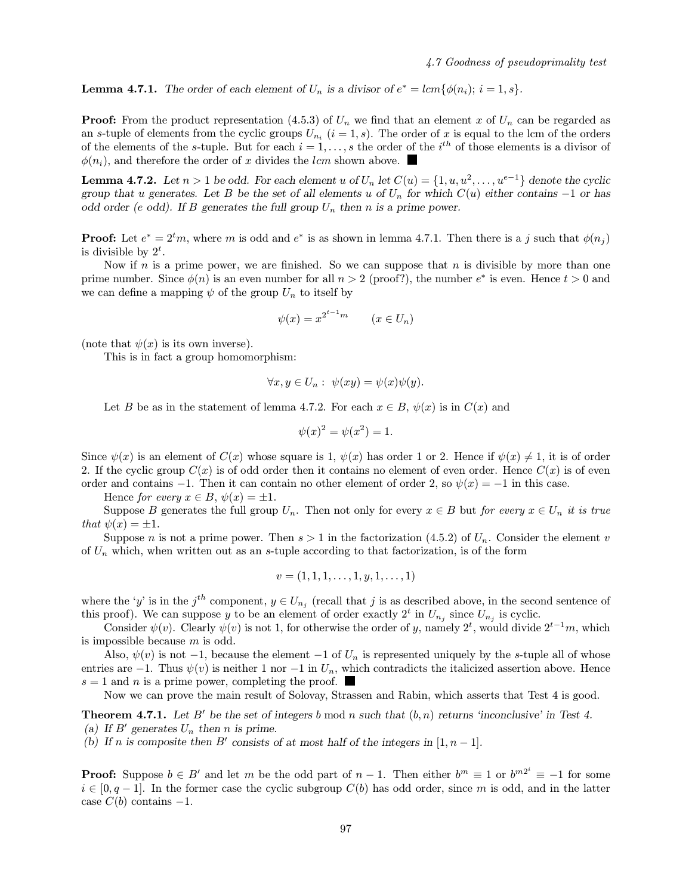4.7 Goodness of pseudoprimality test

**Lemma 4.7.1.** The order of each element of  $U_n$  is a divisor of  $e^* = lcm{\phi(n_i)}$ ;  $i = 1, s$ .

**Proof:** From the product representation (4.5.3) of  $U_n$  we find that an element x of  $U_n$  can be regarded as an s-tuple of elements from the cyclic groups  $U_{n_i}$   $(i = 1, s)$ . The order of x is equal to the lcm of the orders of the elements of the s-tuple. But for each  $i = 1, \ldots, s$  the order of the  $i^{th}$  of those elements is a divisor of  $\phi(n_i)$ , and therefore the order of x divides the *lcm* shown above.

**Lemma 4.7.2.** Let  $n > 1$  be odd. For each element u of  $U_n$  let  $C(u) = \{1, u, u^2, \ldots, u^{e-1}\}\$  denote the cyclic group that u generates. Let B be the set of all elements u of  $U_n$  for which  $C(u)$  either contains  $-1$  or has odd order (e odd). If B generates the full group  $U_n$  then n is a prime power.

**Proof:** Let  $e^* = 2^t m$ , where m is odd and  $e^*$  is as shown in lemma 4.7.1. Then there is a j such that  $\phi(n_j)$ is divisible by  $2^t$ .

Now if n is a prime power, we are finished. So we can suppose that n is divisible by more than one prime number. Since  $\phi(n)$  is an even number for all  $n > 2$  (proof?), the number  $e^*$  is even. Hence  $t > 0$  and we can define a mapping  $\psi$  of the group  $U_n$  to itself by

$$
\psi(x) = x^{2^{t-1}m} \qquad (x \in U_n)
$$

(note that  $\psi(x)$  is its own inverse).

This is in fact a group homomorphism:

$$
\forall x, y \in U_n: \ \psi(xy) = \psi(x)\psi(y).
$$

Let B be as in the statement of lemma 4.7.2. For each  $x \in B$ ,  $\psi(x)$  is in  $C(x)$  and

$$
\psi(x)^2 = \psi(x^2) = 1.
$$

Since  $\psi(x)$  is an element of  $C(x)$  whose square is 1,  $\psi(x)$  has order 1 or 2. Hence if  $\psi(x) \neq 1$ , it is of order 2. If the cyclic group  $C(x)$  is of odd order then it contains no element of even order. Hence  $C(x)$  is of even order and contains −1. Then it can contain no other element of order 2, so  $\psi(x) = -1$  in this case.

Hence for every  $x \in B$ ,  $\psi(x) = \pm 1$ .

Suppose B generates the full group  $U_n$ . Then not only for every  $x \in B$  but for every  $x \in U_n$  it is true that  $\psi(x) = \pm 1$ .

Suppose *n* is not a prime power. Then  $s > 1$  in the factorization (4.5.2) of  $U_n$ . Consider the element v of  $U_n$  which, when written out as an s-tuple according to that factorization, is of the form

$$
v = (1, 1, 1, \ldots, 1, y, 1, \ldots, 1)
$$

where the 'y' is in the j<sup>th</sup> component,  $y \in U_{n_j}$  (recall that j is as described above, in the second sentence of this proof). We can suppose y to be an element of order exactly  $2^t$  in  $U_{n_j}$  since  $U_{n_j}$  is cyclic.

Consider  $\psi(v)$ . Clearly  $\psi(v)$  is not 1, for otherwise the order of y, namely 2<sup>t</sup>, would divide  $2^{t-1}m$ , which is impossible because m is odd.

Also,  $\psi(v)$  is not -1, because the element -1 of  $U_n$  is represented uniquely by the s-tuple all of whose entries are −1. Thus  $\psi(v)$  is neither 1 nor −1 in  $U_n$ , which contradicts the italicized assertion above. Hence  $s = 1$  and n is a prime power, completing the proof.

Now we can prove the main result of Solovay, Strassen and Rabin, which asserts that Test 4 is good.

**Theorem 4.7.1.** Let B' be the set of integers b mod n such that  $(b, n)$  returns 'inconclusive' in Test 4.

(a) If B' generates  $U_n$  then n is prime.

(b) If n is composite then B' consists of at most half of the integers in  $[1, n - 1]$ .

**Proof:** Suppose  $b \in B'$  and let m be the odd part of  $n-1$ . Then either  $b^m \equiv 1$  or  $b^{m2^i} \equiv -1$  for some  $i \in [0, q-1]$ . In the former case the cyclic subgroup  $C(b)$  has odd order, since m is odd, and in the latter case  $C(b)$  contains  $-1$ .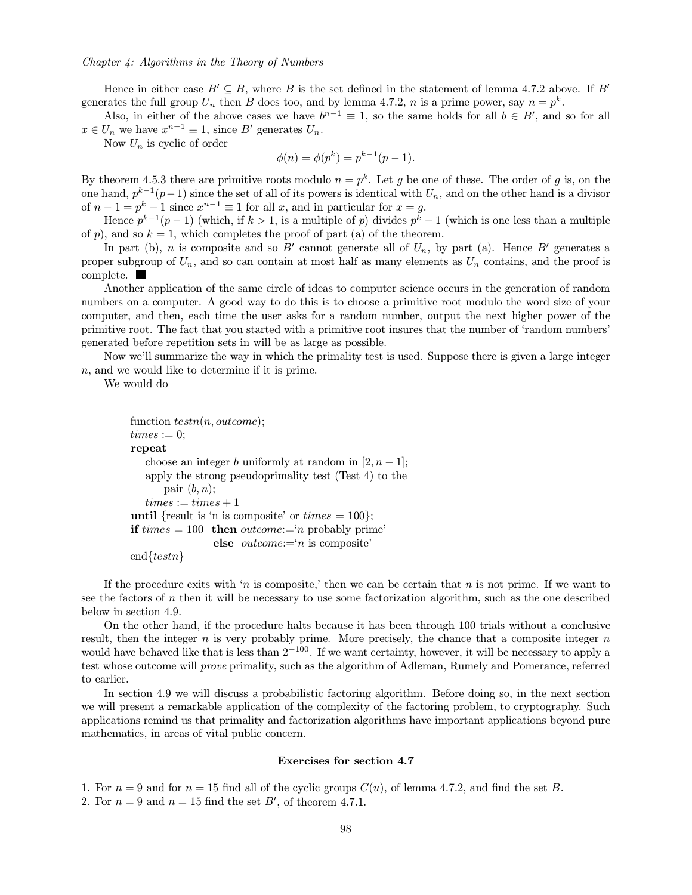Hence in either case  $B' \subseteq B$ , where B is the set defined in the statement of lemma 4.7.2 above. If B' generates the full group  $U_n$  then B does too, and by lemma 4.7.2, n is a prime power, say  $n = p^k$ .

Also, in either of the above cases we have  $b^{n-1} \equiv 1$ , so the same holds for all  $b \in B'$ , and so for all  $x \in U_n$  we have  $x^{n-1} \equiv 1$ , since B' generates  $U_n$ .

Now  $U_n$  is cyclic of order

$$
\phi(n) = \phi(p^k) = p^{k-1}(p-1).
$$

By theorem 4.5.3 there are primitive roots modulo  $n = p^k$ . Let g be one of these. The order of g is, on the one hand,  $p^{k-1}(p-1)$  since the set of all of its powers is identical with  $U_n$ , and on the other hand is a divisor of  $n - 1 = p^k - 1$  since  $x^{n-1} \equiv 1$  for all x, and in particular for  $x = g$ .

Hence  $p^{k-1}(p-1)$  (which, if  $k > 1$ , is a multiple of p) divides  $p^k - 1$  (which is one less than a multiple of p), and so  $k = 1$ , which completes the proof of part (a) of the theorem.

In part (b), n is composite and so B' cannot generate all of  $U_n$ , by part (a). Hence B' generates a proper subgroup of  $U_n$ , and so can contain at most half as many elements as  $U_n$  contains, and the proof is complete.

Another application of the same circle of ideas to computer science occurs in the generation of random numbers on a computer. A good way to do this is to choose a primitive root modulo the word size of your computer, and then, each time the user asks for a random number, output the next higher power of the primitive root. The fact that you started with a primitive root insures that the number of 'random numbers' generated before repetition sets in will be as large as possible.

Now we'll summarize the way in which the primality test is used. Suppose there is given a large integer n, and we would like to determine if it is prime.

We would do

```
function testn(n, outcome);times := 0;repeat
   choose an integer b uniformly at random in [2, n-1];
   apply the strong pseudoprimality test (Test 4) to the
       pair (b, n);
   times := times + 1until {result is 'n is composite' or times = 100};
if times = 100 then outcome: \equiv n probably prime'
                else outcome:=n is composite'
end\{testn\}
```
If the procedure exits with 'n is composite,' then we can be certain that  $n$  is not prime. If we want to see the factors of n then it will be necessary to use some factorization algorithm, such as the one described below in section 4.9.

On the other hand, if the procedure halts because it has been through 100 trials without a conclusive result, then the integer  $n$  is very probably prime. More precisely, the chance that a composite integer  $n$ would have behaved like that is less than  $2^{-100}$ . If we want certainty, however, it will be necessary to apply a test whose outcome will prove primality, such as the algorithm of Adleman, Rumely and Pomerance, referred to earlier.

In section 4.9 we will discuss a probabilistic factoring algorithm. Before doing so, in the next section we will present a remarkable application of the complexity of the factoring problem, to cryptography. Such applications remind us that primality and factorization algorithms have important applications beyond pure mathematics, in areas of vital public concern.

## Exercises for section 4.7

1. For  $n = 9$  and for  $n = 15$  find all of the cyclic groups  $C(u)$ , of lemma 4.7.2, and find the set B.

2. For  $n = 9$  and  $n = 15$  find the set B', of theorem 4.7.1.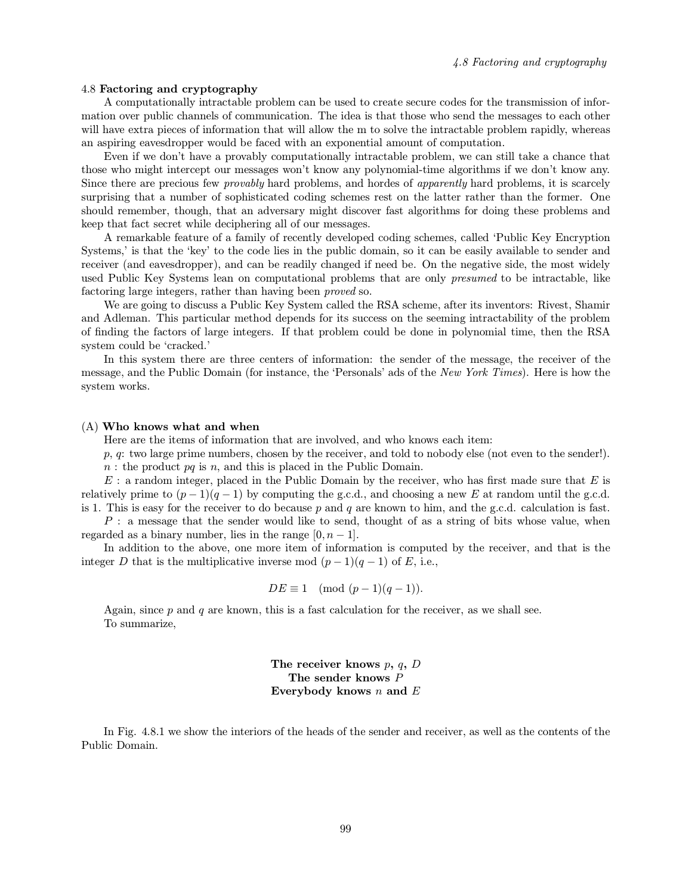#### 4.8 Factoring and cryptography

A computationally intractable problem can be used to create secure codes for the transmission of information over public channels of communication. The idea is that those who send the messages to each other will have extra pieces of information that will allow the m to solve the intractable problem rapidly, whereas an aspiring eavesdropper would be faced with an exponential amount of computation.

Even if we don't have a provably computationally intractable problem, we can still take a chance that those who might intercept our messages won't know any polynomial-time algorithms if we don't know any. Since there are precious few provably hard problems, and hordes of apparently hard problems, it is scarcely surprising that a number of sophisticated coding schemes rest on the latter rather than the former. One should remember, though, that an adversary might discover fast algorithms for doing these problems and keep that fact secret while deciphering all of our messages.

A remarkable feature of a family of recently developed coding schemes, called 'Public Key Encryption Systems,' is that the 'key' to the code lies in the public domain, so it can be easily available to sender and receiver (and eavesdropper), and can be readily changed if need be. On the negative side, the most widely used Public Key Systems lean on computational problems that are only *presumed* to be intractable, like factoring large integers, rather than having been proved so.

We are going to discuss a Public Key System called the RSA scheme, after its inventors: Rivest, Shamir and Adleman. This particular method depends for its success on the seeming intractability of the problem of finding the factors of large integers. If that problem could be done in polynomial time, then the RSA system could be 'cracked.'

In this system there are three centers of information: the sender of the message, the receiver of the message, and the Public Domain (for instance, the 'Personals' ads of the New York Times). Here is how the system works.

## (A) Who knows what and when

Here are the items of information that are involved, and who knows each item:

 $p, q$ : two large prime numbers, chosen by the receiver, and told to nobody else (not even to the sender!).  $n:$  the product  $pq$  is n, and this is placed in the Public Domain.

 $E:$  a random integer, placed in the Public Domain by the receiver, who has first made sure that E is relatively prime to  $(p-1)(q-1)$  by computing the g.c.d., and choosing a new E at random until the g.c.d. is 1. This is easy for the receiver to do because p and q are known to him, and the g.c.d. calculation is fast.

 $P$ : a message that the sender would like to send, thought of as a string of bits whose value, when regarded as a binary number, lies in the range  $[0, n-1]$ .

In addition to the above, one more item of information is computed by the receiver, and that is the integer D that is the multiplicative inverse mod  $(p-1)(q-1)$  of E, i.e.,

$$
DE \equiv 1 \pmod{(p-1)(q-1)}.
$$

Again, since  $p$  and  $q$  are known, this is a fast calculation for the receiver, as we shall see. To summarize,

> The receiver knows  $p, q, D$ The sender knows P Everybody knows  $n$  and  $E$

In Fig. 4.8.1 we show the interiors of the heads of the sender and receiver, as well as the contents of the Public Domain.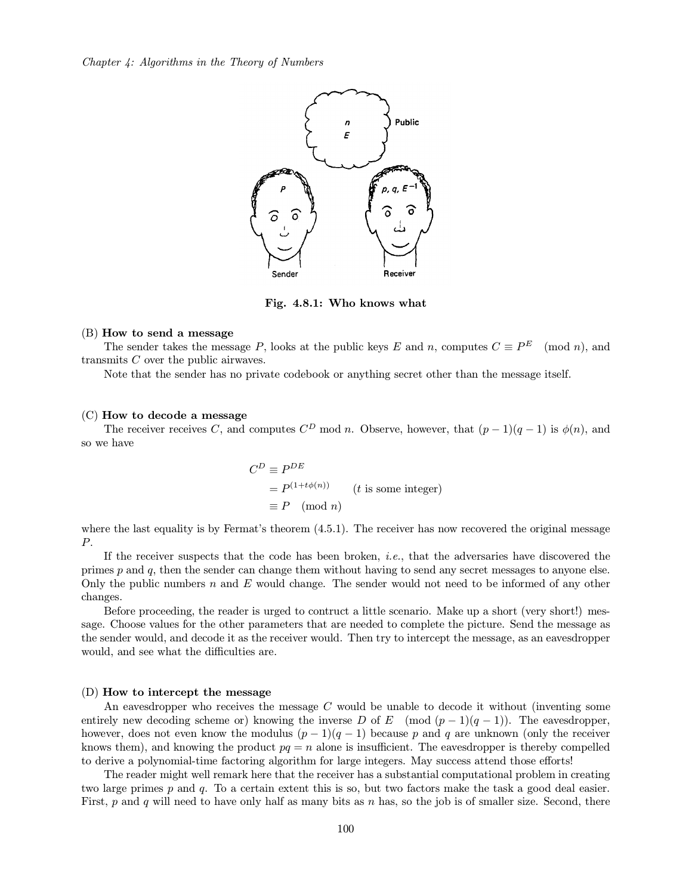

Fig. 4.8.1: Who knows what

#### (B) How to send a message

The sender takes the message P, looks at the public keys E and n, computes  $C \equiv P^E \pmod{n}$ , and transmits C over the public airwaves.

Note that the sender has no private codebook or anything secret other than the message itself.

## (C) How to decode a message

The receiver receives C, and computes  $C^D$  mod n. Observe, however, that  $(p-1)(q-1)$  is  $\phi(n)$ , and so we have

$$
C^{D} \equiv P^{DE}
$$
  
=  $P^{(1+t\phi(n))}$  (*t* is some integer)  
 $\equiv P \pmod{n}$ 

where the last equality is by Fermat's theorem  $(4.5.1)$ . The receiver has now recovered the original message P.

If the receiver suspects that the code has been broken, *i.e.*, that the adversaries have discovered the primes  $p$  and  $q$ , then the sender can change them without having to send any secret messages to anyone else. Only the public numbers  $n$  and  $E$  would change. The sender would not need to be informed of any other changes.

Before proceeding, the reader is urged to contruct a little scenario. Make up a short (very short!) message. Choose values for the other parameters that are needed to complete the picture. Send the message as the sender would, and decode it as the receiver would. Then try to intercept the message, as an eavesdropper would, and see what the difficulties are.

#### (D) How to intercept the message

An eavesdropper who receives the message  $C$  would be unable to decode it without (inventing some entirely new decoding scheme or) knowing the inverse D of E (mod  $(p-1)(q-1)$ ). The eavesdropper, however, does not even know the modulus  $(p-1)(q-1)$  because p and q are unknown (only the receiver knows them), and knowing the product  $pq = n$  alone is insufficient. The eavesdropper is thereby compelled to derive a polynomial-time factoring algorithm for large integers. May success attend those efforts!

The reader might well remark here that the receiver has a substantial computational problem in creating two large primes  $p$  and  $q$ . To a certain extent this is so, but two factors make the task a good deal easier. First,  $p$  and  $q$  will need to have only half as many bits as  $n$  has, so the job is of smaller size. Second, there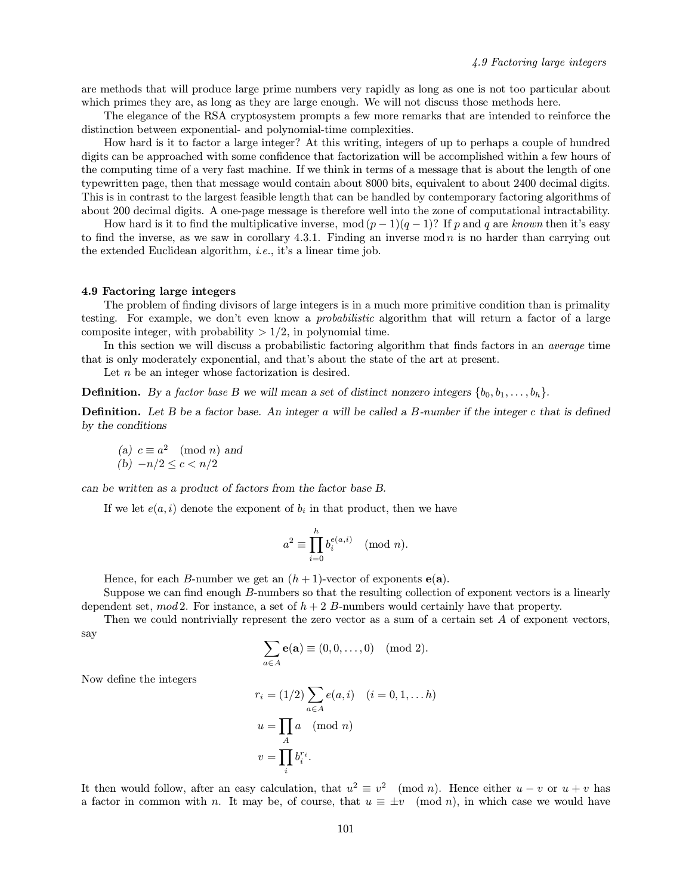are methods that will produce large prime numbers very rapidly as long as one is not too particular about which primes they are, as long as they are large enough. We will not discuss those methods here.

The elegance of the RSA cryptosystem prompts a few more remarks that are intended to reinforce the distinction between exponential- and polynomial-time complexities.

How hard is it to factor a large integer? At this writing, integers of up to perhaps a couple of hundred digits can be approached with some confidence that factorization will be accomplished within a few hours of the computing time of a very fast machine. If we think in terms of a message that is about the length of one typewritten page, then that message would contain about 8000 bits, equivalent to about 2400 decimal digits. This is in contrast to the largest feasible length that can be handled by contemporary factoring algorithms of about 200 decimal digits. A one-page message is therefore well into the zone of computational intractability.

How hard is it to find the multiplicative inverse, mod( $p-1$ )( $q-1$ )? If p and q are known then it's easy to find the inverse, as we saw in corollary 4.3.1. Finding an inverse mod  $n$  is no harder than carrying out the extended Euclidean algorithm, i.e., it's a linear time job.

#### 4.9 Factoring large integers

The problem of finding divisors of large integers is in a much more primitive condition than is primality testing. For example, we don't even know a probabilistic algorithm that will return a factor of a large composite integer, with probability  $> 1/2$ , in polynomial time.

In this section we will discuss a probabilistic factoring algorithm that finds factors in an *average* time that is only moderately exponential, and that's about the state of the art at present.

Let  $n$  be an integer whose factorization is desired.

**Definition.** By a factor base B we will mean a set of distinct nonzero integers  $\{b_0, b_1, \ldots, b_h\}$ .

**Definition.** Let B be a factor base. An integer a will be called a B-number if the integer c that is defined by the conditions

(a)  $c \equiv a^2 \pmod{n}$  and (b)  $-n/2 ≤ c < n/2$ 

can be written as a product of factors from the factor base B.

If we let  $e(a, i)$  denote the exponent of  $b_i$  in that product, then we have

$$
a^2 \equiv \prod_{i=0}^h b_i^{e(a,i)} \pmod{n}.
$$

Hence, for each B-number we get an  $(h + 1)$ -vector of exponents  $e(a)$ .

Suppose we can find enough B-numbers so that the resulting collection of exponent vectors is a linearly dependent set,  $mod 2$ . For instance, a set of  $h + 2$  B-numbers would certainly have that property.

Then we could nontrivially represent the zero vector as a sum of a certain set A of exponent vectors, say

$$
\sum_{a\in A} {\mathbf e}({\mathbf a})\equiv (0,0,\ldots,0) \pmod{2}.
$$

Now define the integers

$$
r_i = (1/2) \sum_{a \in A} e(a, i) \quad (i = 0, 1, \dots h)
$$

$$
u = \prod_A a \pmod{n}
$$

$$
v = \prod_i b_i^{r_i}.
$$

It then would follow, after an easy calculation, that  $u^2 \equiv v^2 \pmod{n}$ . Hence either  $u - v$  or  $u + v$  has a factor in common with n. It may be, of course, that  $u \equiv \pm v \pmod{n}$ , in which case we would have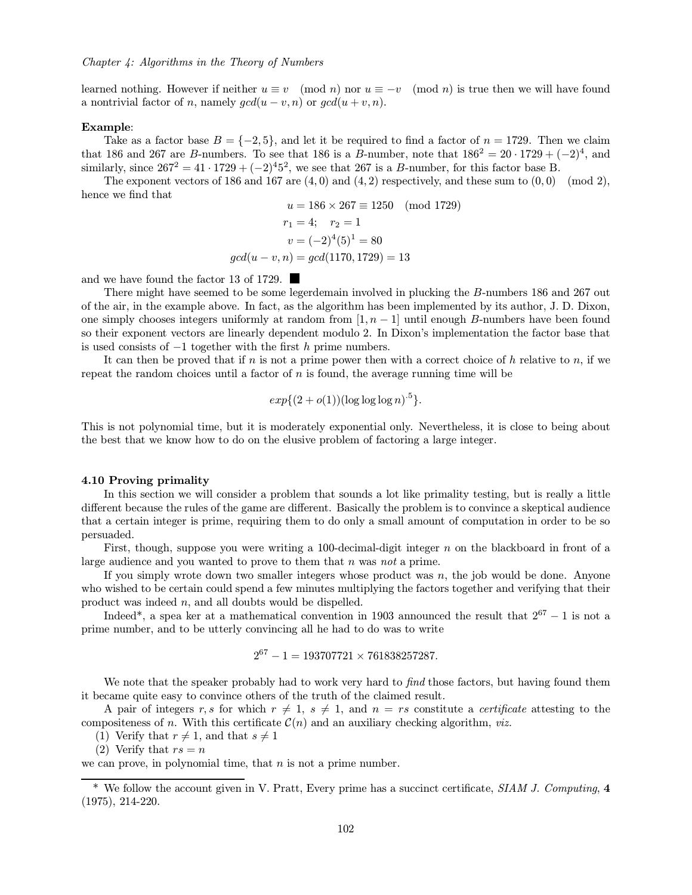learned nothing. However if neither  $u \equiv v \pmod{n}$  nor  $u \equiv -v \pmod{n}$  is true then we will have found a nontrivial factor of n, namely  $\gcd(u-v,n)$  or  $\gcd(u+v,n)$ .

#### Example:

Take as a factor base  $B = \{-2, 5\}$ , and let it be required to find a factor of  $n = 1729$ . Then we claim that 186 and 267 are B-numbers. To see that 186 is a B-number, note that  $186^2 = 20 \cdot 1729 + (-2)^4$ , and similarly, since  $267^2 = 41 \cdot 1729 + (-2)^4 5^2$ , we see that 267 is a B-number, for this factor base B.

The exponent vectors of 186 and 167 are  $(4, 0)$  and  $(4, 2)$  respectively, and these sum to  $(0, 0)$  (mod 2), hence we find that

$$
u = 186 \times 267 \equiv 1250 \pmod{1729}
$$

$$
r_1 = 4; \quad r_2 = 1
$$

$$
v = (-2)^4 (5)^1 = 80
$$

$$
gcd(u - v, n) = gcd(1170, 1729) = 13
$$

and we have found the factor 13 of 1729.

There might have seemed to be some legerdemain involved in plucking the B-numbers 186 and 267 out of the air, in the example above. In fact, as the algorithm has been implemented by its author, J. D. Dixon, one simply chooses integers uniformly at random from  $[1, n - 1]$  until enough B-numbers have been found so their exponent vectors are linearly dependent modulo 2. In Dixon's implementation the factor base that is used consists of  $-1$  together with the first h prime numbers.

It can then be proved that if n is not a prime power then with a correct choice of h relative to n, if we repeat the random choices until a factor of  $n$  is found, the average running time will be

$$
exp{(2 + o(1))} (log log log n)^{.5}
$$
.

This is not polynomial time, but it is moderately exponential only. Nevertheless, it is close to being about the best that we know how to do on the elusive problem of factoring a large integer.

## 4.10 Proving primality

In this section we will consider a problem that sounds a lot like primality testing, but is really a little different because the rules of the game are different. Basically the problem is to convince a skeptical audience that a certain integer is prime, requiring them to do only a small amount of computation in order to be so persuaded.

First, though, suppose you were writing a 100-decimal-digit integer  $n$  on the blackboard in front of a large audience and you wanted to prove to them that n was not a prime.

If you simply wrote down two smaller integers whose product was n, the job would be done. Anyone who wished to be certain could spend a few minutes multiplying the factors together and verifying that their product was indeed n, and all doubts would be dispelled.

Indeed\*, a spea ker at a mathematical convention in 1903 announced the result that  $2^{67} - 1$  is not a prime number, and to be utterly convincing all he had to do was to write

$$
2^{67} - 1 = 193707721 \times 761838257287.
$$

We note that the speaker probably had to work very hard to find those factors, but having found them it became quite easy to convince others of the truth of the claimed result.

A pair of integers r, s for which  $r \neq 1$ ,  $s \neq 1$ , and  $n = rs$  constitute a *certificate* attesting to the compositeness of n. With this certificate  $\mathcal{C}(n)$  and an auxiliary checking algorithm, viz.

(1) Verify that  $r \neq 1$ , and that  $s \neq 1$ 

(2) Verify that  $rs = n$ 

we can prove, in polynomial time, that  $n$  is not a prime number.

<sup>\*</sup> We follow the account given in V. Pratt, Every prime has a succinct certificate, SIAM J. Computing, 4 (1975), 214-220.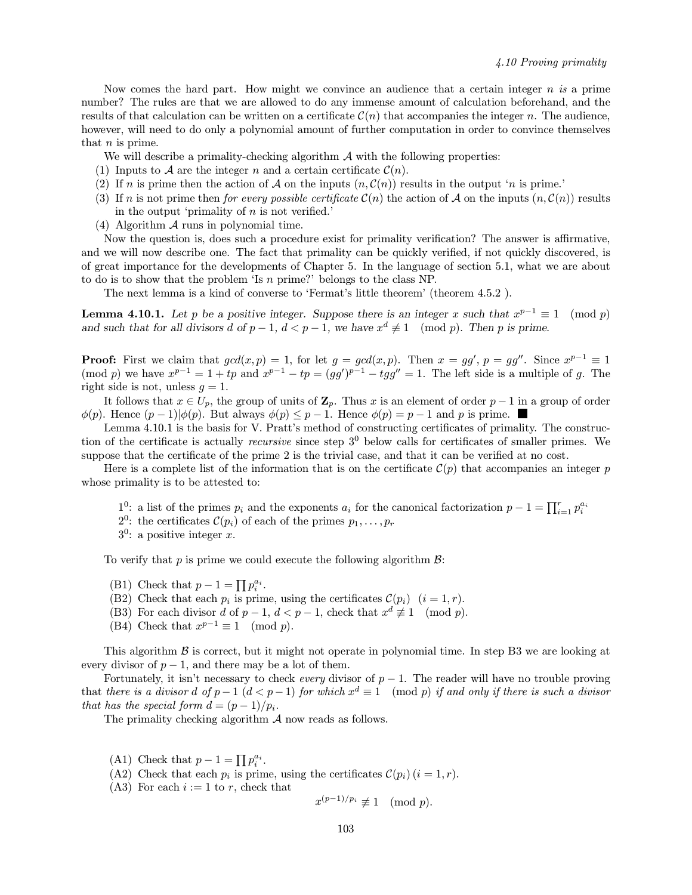Now comes the hard part. How might we convince an audience that a certain integer  $n$  is a prime number? The rules are that we are allowed to do any immense amount of calculation beforehand, and the results of that calculation can be written on a certificate  $\mathcal{C}(n)$  that accompanies the integer n. The audience, however, will need to do only a polynomial amount of further computation in order to convince themselves that  $n$  is prime.

We will describe a primality-checking algorithm  $\mathcal A$  with the following properties:

- (1) Inputs to A are the integer n and a certain certificate  $\mathcal{C}(n)$ .
- (2) If n is prime then the action of A on the inputs  $(n, \mathcal{C}(n))$  results in the output 'n is prime.'
- (3) If n is not prime then for every possible certificate  $\mathcal{C}(n)$  the action of A on the inputs  $(n, \mathcal{C}(n))$  results in the output 'primality of  $n$  is not verified.'
- (4) Algorithm A runs in polynomial time.

Now the question is, does such a procedure exist for primality verification? The answer is affirmative, and we will now describe one. The fact that primality can be quickly verified, if not quickly discovered, is of great importance for the developments of Chapter 5. In the language of section 5.1, what we are about to do is to show that the problem 'Is  $n$  prime?' belongs to the class NP.

The next lemma is a kind of converse to 'Fermat's little theorem' (theorem 4.5.2 ).

**Lemma 4.10.1.** Let p be a positive integer. Suppose there is an integer x such that  $x^{p-1} \equiv 1 \pmod{p}$ and such that for all divisors d of  $p-1$ ,  $d < p-1$ , we have  $x^d \neq 1 \pmod{p}$ . Then p is prime.

**Proof:** First we claim that  $gcd(x, p) = 1$ , for let  $g = gcd(x, p)$ . Then  $x = gg'$ ,  $p = gg''$ . Since  $x^{p-1} \equiv 1$ (mod p) we have  $x^{p-1} = 1 + tp$  and  $x^{p-1} - tp = (gg')^{p-1} - tgg'' = 1$ . The left side is a multiple of g. The right side is not, unless  $q = 1$ .

It follows that  $x \in U_p$ , the group of units of  $\mathbb{Z}_p$ . Thus x is an element of order  $p-1$  in a group of order  $\phi(p)$ . Hence  $(p-1)|\phi(p)$ . But always  $\phi(p) \leq p-1$ . Hence  $\phi(p) = p-1$  and p is prime.

Lemma 4.10.1 is the basis for V. Pratt's method of constructing certificates of primality. The construction of the certificate is actually *recursive* since step  $3<sup>0</sup>$  below calls for certificates of smaller primes. We suppose that the certificate of the prime 2 is the trivial case, and that it can be verified at no cost.

Here is a complete list of the information that is on the certificate  $\mathcal{C}(p)$  that accompanies an integer p whose primality is to be attested to:

- $1^0$ : a list of the primes  $p_i$  and the exponents  $a_i$  for the canonical factorization  $p-1=\prod_{i=1}^r p_i^{a_i}$
- $2^0$ : the certificates  $\mathcal{C}(p_i)$  of each of the primes  $p_1,\ldots,p_r$
- $3^0$ : a positive integer x.

To verify that  $p$  is prime we could execute the following algorithm  $\mathcal{B}$ :

- (B1) Check that  $p-1 = \prod p_i^{a_i}$ .
- (B2) Check that each  $p_i$  is prime, using the certificates  $\mathcal{C}(p_i)$   $(i = 1, r)$ .
- (B3) For each divisor d of  $p-1$ ,  $d < p-1$ , check that  $x^d \not\equiv 1 \pmod{p}$ .
- (B4) Check that  $x^{p-1} \equiv 1 \pmod{p}$ .

This algorithm  $\beta$  is correct, but it might not operate in polynomial time. In step B3 we are looking at every divisor of  $p-1$ , and there may be a lot of them.

Fortunately, it isn't necessary to check every divisor of  $p-1$ . The reader will have no trouble proving that there is a divisor d of  $p-1$   $(d < p-1)$  for which  $x^d \equiv 1 \pmod{p}$  if and only if there is such a divisor that has the special form  $d = (p-1)/p_i$ .

The primality checking algorithm  $A$  now reads as follows.

- (A1) Check that  $p-1 = \prod p_i^{a_i}$ .
- (A2) Check that each  $p_i$  is prime, using the certificates  $\mathcal{C}(p_i)(i=1,r)$ .
- (A3) For each  $i := 1$  to r, check that

$$
x^{(p-1)/p_i} \not\equiv 1 \pmod{p}.
$$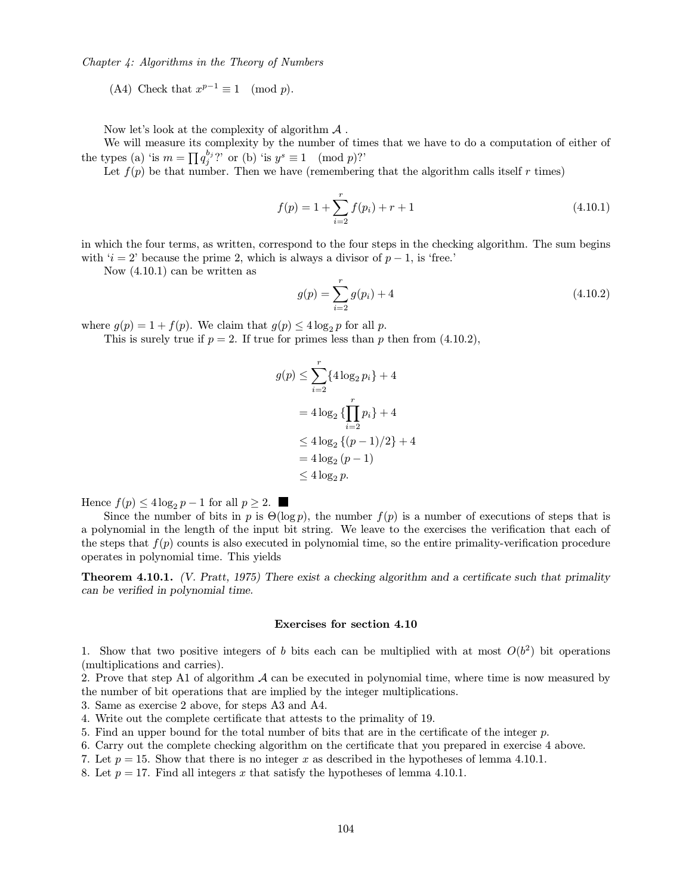(A4) Check that  $x^{p-1} \equiv 1 \pmod{p}$ .

Now let's look at the complexity of algorithm  $A$ .

We will measure its complexity by the number of times that we have to do a computation of either of the types (a) 'is  $m = \prod q_j^{b_j}$ ?' or (b) 'is  $y^s \equiv 1 \pmod{p}$ ?'

Let  $f(p)$  be that number. Then we have (remembering that the algorithm calls itself r times)

$$
f(p) = 1 + \sum_{i=2}^{r} f(p_i) + r + 1
$$
\n(4.10.1)

in which the four terms, as written, correspond to the four steps in the checking algorithm. The sum begins with  $i = 2$ ' because the prime 2, which is always a divisor of  $p - 1$ , is 'free.'

Now (4.10.1) can be written as

$$
g(p) = \sum_{i=2}^{r} g(p_i) + 4
$$
\n(4.10.2)

where  $q(p)=1+f(p)$ . We claim that  $q(p) \leq 4 \log_2 p$  for all p.

This is surely true if  $p = 2$ . If true for primes less than p then from (4.10.2),

$$
g(p) \le \sum_{i=2}^{r} \{4\log_2 p_i\} + 4
$$
  
=  $4\log_2 \{\prod_{i=2}^{r} p_i\} + 4$   
 $\le 4\log_2 \{(p-1)/2\} + 4$   
=  $4\log_2 (p-1)$   
 $\le 4\log_2 p.$ 

Hence  $f(p) \leq 4\log_2 p - 1$  for all  $p \geq 2$ .

Since the number of bits in p is  $\Theta(\log p)$ , the number  $f(p)$  is a number of executions of steps that is a polynomial in the length of the input bit string. We leave to the exercises the verification that each of the steps that  $f(p)$  counts is also executed in polynomial time, so the entire primality-verification procedure operates in polynomial time. This yields

Theorem 4.10.1. (V. Pratt, 1975) There exist a checking algorithm and a certificate such that primality can be verified in polynomial time.

## Exercises for section 4.10

1. Show that two positive integers of b bits each can be multiplied with at most  $O(b^2)$  bit operations (multiplications and carries).

2. Prove that step A1 of algorithm  $A$  can be executed in polynomial time, where time is now measured by the number of bit operations that are implied by the integer multiplications.

3. Same as exercise 2 above, for steps A3 and A4.

4. Write out the complete certificate that attests to the primality of 19.

5. Find an upper bound for the total number of bits that are in the certificate of the integer  $p$ .

- 6. Carry out the complete checking algorithm on the certificate that you prepared in exercise 4 above.
- 7. Let  $p = 15$ . Show that there is no integer x as described in the hypotheses of lemma 4.10.1.
- 8. Let  $p = 17$ . Find all integers x that satisfy the hypotheses of lemma 4.10.1.